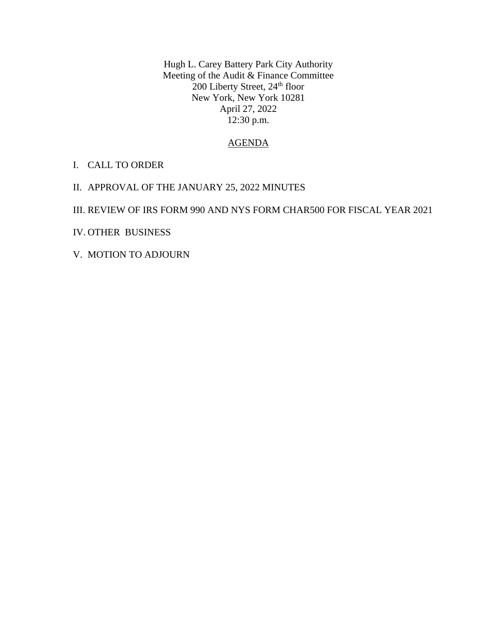Hugh L. Carey Battery Park City Authority Meeting of the Audit & Finance Committee 200 Liberty Street, 24<sup>th</sup> floor New York, New York 10281 April 27, 2022 12:30 p.m.

## AGENDA

- I. CALL TO ORDER
- II. APPROVAL OF THE JANUARY 25, 2022 MINUTES

## III. REVIEW OF IRS FORM 990 AND NYS FORM CHAR500 FOR FISCAL YEAR 2021

- IV. OTHER BUSINESS
- V. MOTION TO ADJOURN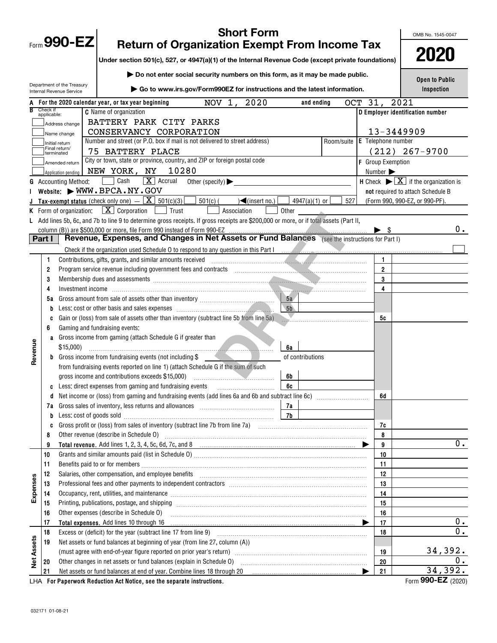| <b>Short Form</b>                                                                                         |                                                                                                                                    |                             |                                                                                                                                                                                                                                              |                  |            |                          | OMB No. 1545-0047                                                              |  |
|-----------------------------------------------------------------------------------------------------------|------------------------------------------------------------------------------------------------------------------------------------|-----------------------------|----------------------------------------------------------------------------------------------------------------------------------------------------------------------------------------------------------------------------------------------|------------------|------------|--------------------------|--------------------------------------------------------------------------------|--|
|                                                                                                           |                                                                                                                                    | Form 990-EZ                 | <b>Return of Organization Exempt From Income Tax</b>                                                                                                                                                                                         |                  |            |                          |                                                                                |  |
|                                                                                                           |                                                                                                                                    |                             | Under section 501(c), 527, or 4947(a)(1) of the Internal Revenue Code (except private foundations)                                                                                                                                           |                  |            |                          | 2020                                                                           |  |
|                                                                                                           | <b>Open to Public</b>                                                                                                              |                             |                                                                                                                                                                                                                                              |                  |            |                          |                                                                                |  |
|                                                                                                           | Department of the Treasury<br>Go to www.irs.gov/Form990EZ for instructions and the latest information.<br>Internal Revenue Service |                             |                                                                                                                                                                                                                                              |                  |            |                          |                                                                                |  |
| 2020<br>OCT 31,<br>2021<br>For the 2020 calendar year, or tax year beginning<br>NOV 1,<br>and ending<br>A |                                                                                                                                    |                             |                                                                                                                                                                                                                                              |                  |            |                          |                                                                                |  |
|                                                                                                           | Check if<br>applicable:                                                                                                            |                             | <b>C</b> Name of organization                                                                                                                                                                                                                |                  |            |                          | D Employer identification number                                               |  |
|                                                                                                           |                                                                                                                                    | Address change              | BATTERY PARK CITY PARKS                                                                                                                                                                                                                      |                  |            |                          |                                                                                |  |
|                                                                                                           |                                                                                                                                    | Name change                 | CONSERVANCY CORPORATION                                                                                                                                                                                                                      |                  |            | 13-3449909               |                                                                                |  |
|                                                                                                           |                                                                                                                                    | Initial return              | Number and street (or P.O. box if mail is not delivered to street address)                                                                                                                                                                   |                  | Room/suite | E Telephone number       |                                                                                |  |
|                                                                                                           |                                                                                                                                    | Final return/<br>terminated | 75 BATTERY PLACE                                                                                                                                                                                                                             |                  |            |                          | $(212)$ 267-9700                                                               |  |
|                                                                                                           |                                                                                                                                    | Amended return              | City or town, state or province, country, and ZIP or foreign postal code                                                                                                                                                                     |                  |            | <b>F</b> Group Exemption |                                                                                |  |
|                                                                                                           |                                                                                                                                    | Application pending         | NEW YORK, NY<br>10280                                                                                                                                                                                                                        |                  |            | Number >                 |                                                                                |  |
| G                                                                                                         |                                                                                                                                    | <b>Accounting Method:</b>   | Cash<br>$\boxed{\mathbf{X}}$ Accrual<br>Other (specify) $\blacktriangleright$                                                                                                                                                                |                  |            |                          | <b>H</b> Check $\blacktriangleright \boxed{\mathbf{X}}$ if the organization is |  |
|                                                                                                           |                                                                                                                                    |                             | Website: $\blacktriangleright$ WWW. BPCA. NY. GOV                                                                                                                                                                                            |                  |            |                          | not required to attach Schedule B                                              |  |
|                                                                                                           |                                                                                                                                    |                             | <b>Tax-exempt status</b> (check only one) $ \boxed{\mathbf{X}}$ 501(c)(3)<br>$501(c)$ (<br>$\sqrt{\frac{2}{\pi}}$ (insert no.)                                                                                                               | 4947(a)(1) or    | 5271       |                          | (Form 990, 990-EZ, or 990-PF).                                                 |  |
|                                                                                                           |                                                                                                                                    | K Form of organization:     | $\boxed{\mathbf{X}}$ Corporation $\boxed{\phantom{0}}$ Trust<br>Association                                                                                                                                                                  | Other            |            |                          |                                                                                |  |
|                                                                                                           |                                                                                                                                    |                             | L Add lines 5b, 6c, and 7b to line 9 to determine gross receipts. If gross receipts are \$200,000 or more, or if total assets (Part II,                                                                                                      |                  |            |                          |                                                                                |  |
|                                                                                                           |                                                                                                                                    |                             | column (B)) are \$500,000 or more, file Form 990 instead of Form 990-EZ                                                                                                                                                                      |                  |            | $\blacktriangleright$ s  | 0.                                                                             |  |
|                                                                                                           | Part I                                                                                                                             |                             | Revenue, Expenses, and Changes in Net Assets or Fund Balances (see the instructions for Part I)                                                                                                                                              |                  |            |                          |                                                                                |  |
|                                                                                                           |                                                                                                                                    |                             |                                                                                                                                                                                                                                              |                  |            |                          |                                                                                |  |
|                                                                                                           | 1                                                                                                                                  |                             | Contributions, gifts, grants, and similar amounts received [11] [11] contributions, and a series and similar amounts received [11] [11] $\sim$ [11] [11] $\sim$ [11] $\sim$ [11] $\sim$ [11] $\sim$ [11] $\sim$ [11] $\sim$ [11] $\sim$ [11] |                  |            | 1.                       |                                                                                |  |
|                                                                                                           | 2                                                                                                                                  |                             | Program service revenue including government fees and contracts [11] matter contracts [11] matter contracts and contracts and contracts and contracts and contracts and contracts and contracts and contracts and contracts an               |                  |            | $\overline{2}$           |                                                                                |  |
|                                                                                                           | 3                                                                                                                                  |                             | Membership dues and assessments <i>[[CONTEXTREMAND ]]</i> <b>Membership dues and assessments</b> <i>[[CONTEXTREMAND ]]</i>                                                                                                                   |                  |            | 3                        |                                                                                |  |
|                                                                                                           | 4                                                                                                                                  |                             |                                                                                                                                                                                                                                              |                  |            | 4                        |                                                                                |  |
|                                                                                                           | 5а                                                                                                                                 |                             |                                                                                                                                                                                                                                              | 5a               |            |                          |                                                                                |  |
|                                                                                                           | b                                                                                                                                  |                             |                                                                                                                                                                                                                                              | 5 <sub>b</sub>   |            |                          |                                                                                |  |
|                                                                                                           | C                                                                                                                                  |                             | Gain or (loss) from sale of assets other than inventory (subtract line 5b from line 5a)                                                                                                                                                      |                  |            | 5c                       |                                                                                |  |
|                                                                                                           | 6                                                                                                                                  |                             | Gaming and fundraising events:                                                                                                                                                                                                               |                  |            |                          |                                                                                |  |
|                                                                                                           |                                                                                                                                    |                             | a Gross income from gaming (attach Schedule G if greater than                                                                                                                                                                                |                  |            |                          |                                                                                |  |
| Revenue                                                                                                   |                                                                                                                                    | \$15,000                    |                                                                                                                                                                                                                                              | 6a               |            |                          |                                                                                |  |
|                                                                                                           |                                                                                                                                    |                             | <b>b</b> Gross income from fundraising events (not including \$                                                                                                                                                                              | of contributions |            |                          |                                                                                |  |
|                                                                                                           |                                                                                                                                    |                             | from fundraising events reported on line 1) (attach Schedule G if the sum of such                                                                                                                                                            |                  |            |                          |                                                                                |  |
|                                                                                                           |                                                                                                                                    |                             | gross income and contributions exceeds \$15,000)<br>c Less: direct expenses from gaming and fundraising events                                                                                                                               | 6b<br>6c         |            |                          |                                                                                |  |
|                                                                                                           | a                                                                                                                                  |                             | Net income or (loss) from gaming and fundraising events (add lines 6a and 6b and subtract line 6c) [[[[[[[[[[[                                                                                                                               |                  |            | 6d                       |                                                                                |  |
|                                                                                                           | 7а                                                                                                                                 |                             |                                                                                                                                                                                                                                              |                  |            |                          |                                                                                |  |
|                                                                                                           | b                                                                                                                                  |                             | Less: cost of goods sold with the cost of goods sold with the continuum contract to the cost of goods sold                                                                                                                                   |                  |            |                          |                                                                                |  |
|                                                                                                           | C                                                                                                                                  |                             |                                                                                                                                                                                                                                              |                  |            | 7c                       |                                                                                |  |
|                                                                                                           | 8                                                                                                                                  |                             |                                                                                                                                                                                                                                              |                  |            | 8                        |                                                                                |  |
|                                                                                                           | 9                                                                                                                                  |                             |                                                                                                                                                                                                                                              |                  |            | 9                        | $0$ .                                                                          |  |
|                                                                                                           | 10                                                                                                                                 |                             |                                                                                                                                                                                                                                              |                  |            | 10                       |                                                                                |  |
|                                                                                                           | 11                                                                                                                                 |                             |                                                                                                                                                                                                                                              |                  |            | 11                       |                                                                                |  |
|                                                                                                           | 12                                                                                                                                 |                             | Salaries, other compensation, and employee benefits [11] matter compensation and employee benefits [11] matter compensation, and employee benefits [11] matter compensation and employee benefits [11] matter compensation of                |                  |            | 12                       |                                                                                |  |
|                                                                                                           | 13                                                                                                                                 |                             |                                                                                                                                                                                                                                              |                  |            | 13                       |                                                                                |  |
| Expenses                                                                                                  | 14                                                                                                                                 |                             | Occupancy, rent, utilities, and maintenance manufactured and accuracy of the manufactured and maintenance manufactured and maintenance manufactured and maintenance manufactured and manufactured and manufactured and manufac               |                  |            | 14                       |                                                                                |  |
|                                                                                                           | 15                                                                                                                                 |                             |                                                                                                                                                                                                                                              |                  |            | 15                       |                                                                                |  |
|                                                                                                           | 16                                                                                                                                 |                             | Other expenses (describe in Schedule O)                                                                                                                                                                                                      |                  |            | 16                       |                                                                                |  |
|                                                                                                           | 17                                                                                                                                 |                             |                                                                                                                                                                                                                                              |                  |            | 17                       | $\overline{0}$ .                                                               |  |
|                                                                                                           | 18                                                                                                                                 |                             |                                                                                                                                                                                                                                              |                  |            | 18                       | $\overline{0}$ .                                                               |  |
|                                                                                                           | 19                                                                                                                                 |                             | Net assets or fund balances at beginning of year (from line 27, column (A))                                                                                                                                                                  |                  |            |                          |                                                                                |  |
| <b>Net Assets</b>                                                                                         |                                                                                                                                    |                             |                                                                                                                                                                                                                                              |                  |            | 19                       | 34,392.                                                                        |  |
|                                                                                                           | 20                                                                                                                                 |                             |                                                                                                                                                                                                                                              |                  |            | 20                       | 0.                                                                             |  |
|                                                                                                           | 21                                                                                                                                 |                             | Net assets or fund balances at end of year. Combine lines 18 through 20                                                                                                                                                                      |                  |            | 21                       | 34,392.                                                                        |  |
|                                                                                                           |                                                                                                                                    |                             | LHA For Paperwork Reduction Act Notice, see the separate instructions.                                                                                                                                                                       |                  |            |                          | Form 990-EZ (2020)                                                             |  |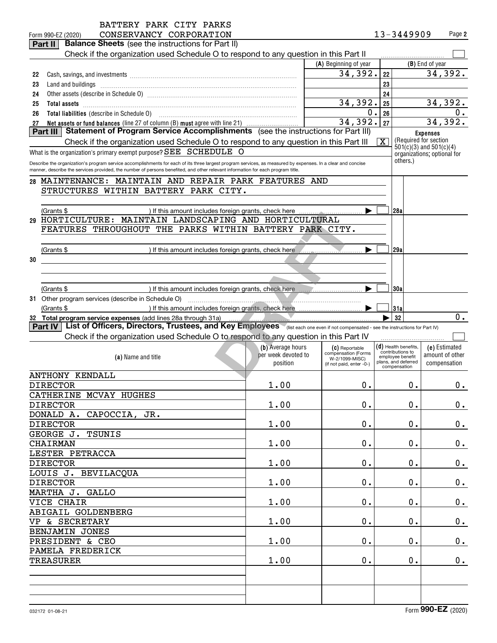|          | BATTERY PARK CITY PARKS                                                                                                                                     |                     |                                       |    |                                                            |                 |               |
|----------|-------------------------------------------------------------------------------------------------------------------------------------------------------------|---------------------|---------------------------------------|----|------------------------------------------------------------|-----------------|---------------|
|          | CONSERVANCY CORPORATION<br>Form 990-EZ (2020)                                                                                                               |                     |                                       |    | 13-3449909                                                 |                 | Page 2        |
|          | <b>Balance Sheets</b> (see the instructions for Part II)<br>Part II                                                                                         |                     |                                       |    |                                                            |                 |               |
|          | Check if the organization used Schedule O to respond to any question in this Part II                                                                        |                     | (A) Beginning of year                 |    |                                                            | (B) End of year |               |
|          |                                                                                                                                                             |                     | 34,392.                               | 22 |                                                            |                 | 34,392.       |
| 22<br>23 | Cash, savings, and investments [111] contained a state of the same scale in the same scale in the same scale i<br>Land and buildings                        |                     |                                       | 23 |                                                            |                 |               |
| 24       |                                                                                                                                                             |                     |                                       | 24 |                                                            |                 |               |
| 25       | <b>Total assets</b>                                                                                                                                         |                     | 34,392.                               | 25 |                                                            |                 | 34,392.       |
| 26       |                                                                                                                                                             |                     | $\mathbf 0$ .                         | 26 |                                                            |                 | 0.            |
| 27       | Net assets or fund balances (line 27 of column (B) must agree with line 21)                                                                                 |                     | 34,392.                               | 27 |                                                            |                 | 34,392.       |
|          | Statement of Program Service Accomplishments (see the instructions for Part III)<br>Part III                                                                |                     |                                       |    |                                                            | <b>Expenses</b> |               |
|          | Check if the organization used Schedule O to respond to any question in this Part III                                                                       |                     |                                       | X  | (Required for section                                      |                 |               |
|          | What is the organization's primary exempt purpose? SEE SCHEDULE O                                                                                           |                     |                                       |    | $501(c)(3)$ and $501(c)(4)$<br>organizations; optional for |                 |               |
|          | Describe the organization's program service accomplishments for each of its three largest program services, as measured by expenses. In a clear and concise |                     |                                       |    | others.)                                                   |                 |               |
|          | manner, describe the services provided, the number of persons benefited, and other relevant information for each program title.                             |                     |                                       |    |                                                            |                 |               |
|          | 28 MAINTENANCE: MAINTAIN AND REPAIR PARK FEATURES AND                                                                                                       |                     |                                       |    |                                                            |                 |               |
|          | STRUCTURES WITHIN BATTERY PARK CITY.                                                                                                                        |                     |                                       |    |                                                            |                 |               |
|          |                                                                                                                                                             |                     |                                       |    |                                                            |                 |               |
|          | (Grants \$                                                                                                                                                  |                     |                                       |    | 28a                                                        |                 |               |
|          | 29 HORTICULTURE: MAINTAIN LANDSCAPING AND HORTICULTURAL                                                                                                     |                     |                                       |    |                                                            |                 |               |
|          | FEATURES THROUGHOUT THE PARKS WITHIN BATTERY PARK CITY.                                                                                                     |                     |                                       |    |                                                            |                 |               |
|          |                                                                                                                                                             |                     |                                       |    |                                                            |                 |               |
|          | (Grants \$<br>) If this amount includes foreign grants, check here                                                                                          |                     |                                       |    | 29a                                                        |                 |               |
| 30       |                                                                                                                                                             |                     |                                       |    |                                                            |                 |               |
|          |                                                                                                                                                             |                     |                                       |    |                                                            |                 |               |
|          |                                                                                                                                                             |                     |                                       |    |                                                            |                 |               |
|          |                                                                                                                                                             |                     |                                       |    | 130a                                                       |                 |               |
|          | (Grants \$                                                                                                                                                  |                     |                                       |    |                                                            |                 |               |
|          | 31 Other program services (describe in Schedule O)                                                                                                          |                     |                                       |    |                                                            |                 |               |
|          | ) If this amount includes foreign grants, check here<br>(Grants \$                                                                                          |                     |                                       |    | 31a                                                        |                 |               |
|          | 32 Total program service expenses (add lines 28a through 31a)                                                                                               |                     |                                       |    | 32                                                         |                 |               |
|          | Part IV   List of Officers, Directors, Trustees, and Key Employees (list each one even if not compensated - see the instructions for Part IV)               |                     |                                       |    |                                                            |                 |               |
|          | Check if the organization used Schedule O to respond to any question in this Part IV                                                                        |                     |                                       |    |                                                            |                 | 0.            |
|          |                                                                                                                                                             | (b) Average hours   | (C) Reportable                        |    | $(d)$ Health benefits,<br>contributions to                 | (e) Estimated   |               |
|          | (a) Name and title                                                                                                                                          | per week devoted to | compensation (Forms<br>W-2/1099-MISC) |    | employee benefit<br>plans, and deferred                    | amount of other |               |
|          |                                                                                                                                                             | position            | (if not paid, enter -0-)              |    | compensation                                               | compensation    |               |
|          | ANTHONY KENDALL                                                                                                                                             |                     |                                       |    |                                                            |                 |               |
|          | <b>DIRECTOR</b>                                                                                                                                             | 1.00                | 0.                                    |    | 0.                                                         |                 | 0.            |
|          | CATHERINE MCVAY HUGHES                                                                                                                                      |                     |                                       |    |                                                            |                 |               |
|          | <b>DIRECTOR</b>                                                                                                                                             | 1.00                | $\mathbf 0$ .                         |    | $\mathbf 0$ .                                              |                 | $\mathbf 0$ . |
|          | DONALD A. CAPOCCIA, JR.                                                                                                                                     |                     |                                       |    |                                                            |                 |               |
|          | <b>DIRECTOR</b>                                                                                                                                             | 1.00                | $\mathbf 0$ .                         |    | $\mathbf 0$ .                                              |                 | 0.            |
|          | GEORGE J. TSUNIS                                                                                                                                            |                     |                                       |    |                                                            |                 |               |
|          | <b>CHAIRMAN</b>                                                                                                                                             | 1.00                | $\mathbf 0$ .                         |    | $\mathbf 0$ .                                              |                 | 0.            |
|          | LESTER PETRACCA                                                                                                                                             |                     |                                       |    |                                                            |                 |               |
|          | <b>DIRECTOR</b>                                                                                                                                             | 1.00                | $\mathbf 0$ .                         |    | $\mathbf 0$ .                                              |                 | 0.            |
|          | LOUIS J. BEVILACQUA                                                                                                                                         |                     |                                       |    |                                                            |                 |               |
|          | <b>DIRECTOR</b>                                                                                                                                             | 1.00                | $\mathbf 0$ .                         |    | $0$ .                                                      |                 | 0.            |
|          | MARTHA J. GALLO                                                                                                                                             |                     |                                       |    |                                                            |                 |               |
|          | VICE CHAIR                                                                                                                                                  | 1.00                | $\mathbf 0$ .                         |    | $0$ .                                                      |                 | 0.            |
|          | ABIGAIL GOLDENBERG                                                                                                                                          |                     |                                       |    |                                                            |                 |               |
|          | VP & SECRETARY                                                                                                                                              | 1.00                | $\mathbf 0$ .                         |    | $0$ .                                                      |                 | 0.            |
|          | BENJAMIN JONES                                                                                                                                              |                     |                                       |    |                                                            |                 |               |
|          | PRESIDENT & CEO                                                                                                                                             | 1.00                | $0$ .                                 |    | 0.                                                         |                 | 0.            |
|          | PAMELA FREDERICK                                                                                                                                            |                     |                                       |    |                                                            |                 |               |
|          | <b>TREASURER</b>                                                                                                                                            | 1.00                | $0$ .                                 |    | 0.                                                         |                 | 0.            |
|          |                                                                                                                                                             |                     |                                       |    |                                                            |                 |               |
|          |                                                                                                                                                             |                     |                                       |    |                                                            |                 |               |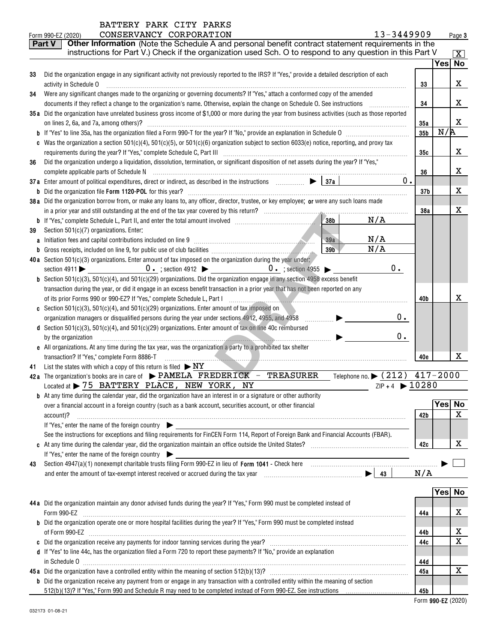|    | 13-3449909<br>CONSERVANCY CORPORATION<br>Form 990-EZ (2020)                                                                                                                                                        |                 |         | Page 3              |
|----|--------------------------------------------------------------------------------------------------------------------------------------------------------------------------------------------------------------------|-----------------|---------|---------------------|
|    | Other Information (Note the Schedule A and personal benefit contract statement requirements in the<br><b>Part V</b>                                                                                                |                 |         |                     |
|    | instructions for Part V.) Check if the organization used Sch. O to respond to any question in this Part V                                                                                                          |                 |         | $\lfloor x \rfloor$ |
|    |                                                                                                                                                                                                                    |                 | Yesl No |                     |
| 33 | Did the organization engage in any significant activity not previously reported to the IRS? If "Yes," provide a detailed description of each                                                                       |                 |         |                     |
|    | activity in Schedule O                                                                                                                                                                                             | 33              |         | x                   |
| 34 | Were any significant changes made to the organizing or governing documents? If "Yes," attach a conformed copy of the amended                                                                                       |                 |         |                     |
|    | documents if they reflect a change to the organization's name. Otherwise, explain the change on Schedule O. See instructions                                                                                       | 34              |         | x                   |
|    | 35a Did the organization have unrelated business gross income of \$1,000 or more during the year from business activities (such as those reported                                                                  |                 |         |                     |
|    | on lines 2, 6a, and 7a, among others)?                                                                                                                                                                             | 35a             |         | x                   |
|    |                                                                                                                                                                                                                    | 35 <sub>b</sub> | N/R     |                     |
|    | c Was the organization a section $501(c)(4)$ , $501(c)(5)$ , or $501(c)(6)$ organization subject to section $6033(e)$ notice, reporting, and proxy tax                                                             |                 |         |                     |
|    |                                                                                                                                                                                                                    | 35с             |         | x                   |
| 36 | Did the organization undergo a liquidation, dissolution, termination, or significant disposition of net assets during the year? If "Yes,"                                                                          |                 |         |                     |
|    |                                                                                                                                                                                                                    | 36              |         | х                   |
|    | 37a Enter amount of political expenditures, direct or indirect, as described in the instructions $\Box$ $\Box$ 37a<br>0.                                                                                           |                 |         |                     |
|    |                                                                                                                                                                                                                    | 37 <sub>b</sub> |         | х                   |
|    | 38a Did the organization borrow from, or make any loans to, any officer, director, trustee, or key employee; or were any such loans made                                                                           |                 |         |                     |
|    |                                                                                                                                                                                                                    | 38a             |         | х                   |
|    | N/A<br>38b                                                                                                                                                                                                         |                 |         |                     |
| 39 | Section 501(c)(7) organizations. Enter:                                                                                                                                                                            |                 |         |                     |
|    | N/A<br>a Initiation fees and capital contributions included on line 9 [11] manuscription fees and capital contributions included on line 9<br>39a                                                                  |                 |         |                     |
|    | N/A<br>39 <sub>b</sub>                                                                                                                                                                                             |                 |         |                     |
|    | 40a Section 501(c)(3) organizations. Enter amount of tax imposed on the organization during the year under:                                                                                                        |                 |         |                     |
|    | $0$ .                                                                                                                                                                                                              |                 |         |                     |
|    | <b>b</b> Section 501(c)(3), 501(c)(4), and 501(c)(29) organizations. Did the organization engage in any section 4958 excess benefit                                                                                |                 |         |                     |
|    | transaction during the year, or did it engage in an excess benefit transaction in a prior year that has not been reported on any                                                                                   |                 |         | х                   |
|    | of its prior Forms 990 or 990-EZ? If "Yes," complete Schedule L, Part I                                                                                                                                            | 40b             |         |                     |
|    | c Section 501(c)(3), 501(c)(4), and 501(c)(29) organizations. Enter amount of tax imposed on<br>0.                                                                                                                 |                 |         |                     |
|    | organization managers or disqualified persons during the year under sections 4912, 4955, and 4958<br>.<br>d Section 501(c)(3), 501(c)(4), and 501(c)(29) organizations. Enter amount of tax on line 40c reimbursed |                 |         |                     |
|    | 0.<br>by the organization                                                                                                                                                                                          |                 |         |                     |
|    | e All organizations. At any time during the tax year, was the organization a party to a prohibited tax shelter                                                                                                     |                 |         |                     |
|    | transaction? If "Yes," complete Form 8886-T                                                                                                                                                                        | 40e             |         | x                   |
| 41 | List the states with which a copy of this return is filed $\triangleright$ NY                                                                                                                                      |                 |         |                     |
|    | Telephone no. > (212) 417-2000<br>42a The organization's books are in care of $\blacktriangleright$ PAMELA FREDERICK - TREASURER                                                                                   |                 |         |                     |
|    | $ZIP + 4$ 10280<br>Located at > 75 BATTERY PLACE, NEW YORK, NY                                                                                                                                                     |                 |         |                     |
|    | <b>b</b> At any time during the calendar year, did the organization have an interest in or a signature or other authority                                                                                          |                 |         |                     |
|    | over a financial account in a foreign country (such as a bank account, securities account, or other financial                                                                                                      |                 | Yes     | No                  |
|    | account)?                                                                                                                                                                                                          | 42b             |         | X                   |
|    | If "Yes," enter the name of the foreign country                                                                                                                                                                    |                 |         |                     |
|    | See the instructions for exceptions and filing requirements for FinCEN Form 114, Report of Foreign Bank and Financial Accounts (FBAR).                                                                             |                 |         |                     |
|    |                                                                                                                                                                                                                    | 42c             |         | X                   |
|    | If "Yes," enter the name of the foreign country $\blacktriangleright$                                                                                                                                              |                 |         |                     |
| 43 |                                                                                                                                                                                                                    |                 |         |                     |
|    |                                                                                                                                                                                                                    | N/A             |         |                     |
|    |                                                                                                                                                                                                                    |                 |         |                     |
|    |                                                                                                                                                                                                                    |                 | Yes No  |                     |
|    | 44a Did the organization maintain any donor advised funds during the year? If "Yes," Form 990 must be completed instead of                                                                                         |                 |         |                     |
|    | Form 990-EZ                                                                                                                                                                                                        | 44a             |         | х                   |
|    | <b>b</b> Did the organization operate one or more hospital facilities during the year? If "Yes," Form 990 must be completed instead                                                                                |                 |         |                     |
|    |                                                                                                                                                                                                                    | 44b             |         | x                   |
|    |                                                                                                                                                                                                                    | 44c             |         | X                   |
|    | d If "Yes" to line 44c, has the organization filed a Form 720 to report these payments? If "No," provide an explanation                                                                                            |                 |         |                     |
|    |                                                                                                                                                                                                                    | 44d             |         |                     |
|    |                                                                                                                                                                                                                    | 45a             |         | X                   |

**45a b** Did the organization receive any payment from or engage in any transaction with a controlled entity within the meaning of section 512(b)(13)? If "Yes," Form 990 and Schedule R may need to be completed instead of Form 990-EZ. See instructions

 **990-EZ** Form (2020)

**45b**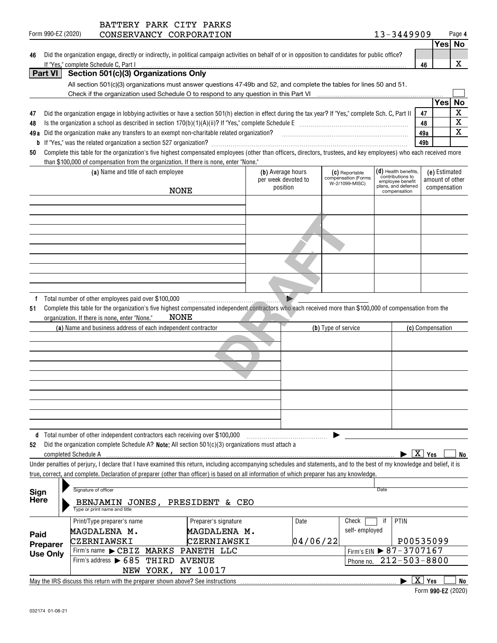| 46              | Did the organization engage, directly or indirectly, in political campaign activities on behalf of or in opposition to candidates for public office?                                                                             |                        |                 |                         |
|-----------------|----------------------------------------------------------------------------------------------------------------------------------------------------------------------------------------------------------------------------------|------------------------|-----------------|-------------------------|
| <b>Part VI</b>  | If "Yes," complete Schedule C, Part I                                                                                                                                                                                            | 46                     |                 | X                       |
|                 | All section 501(c)(3) organizations must answer questions 47-49b and 52, and complete the tables for lines 50 and 51.                                                                                                            |                        |                 |                         |
|                 |                                                                                                                                                                                                                                  |                        |                 |                         |
|                 |                                                                                                                                                                                                                                  |                        | Yes             | <b>No</b>               |
| 47              | Did the organization engage in lobbying activities or have a section 501(h) election in effect during the tax year? If "Yes," complete Sch. C, Part II                                                                           | 47                     |                 | $\overline{\mathtt{x}}$ |
| 48              |                                                                                                                                                                                                                                  | 48                     |                 | $\overline{\textbf{x}}$ |
| 49 a            | Did the organization make any transfers to an exempt non-charitable related organization?<br>University management of management contains and the original containment contains and the control of the state of the state of the | 49a                    |                 | X                       |
| b               |                                                                                                                                                                                                                                  | 49b                    |                 |                         |
| 50              | Complete this table for the organization's five highest compensated employees (other than officers, directors, trustees, and key employees) who each received more                                                               |                        |                 |                         |
|                 | than \$100,000 of compensation from the organization. If there is none, enter "None."                                                                                                                                            |                        |                 |                         |
|                 | $(d)$ Health benefits,<br>(a) Name and title of each employee<br>(b) Average hours<br>(C) Reportable<br>contributions to                                                                                                         |                        | (e) Estimated   |                         |
|                 | compensation (Forms<br>per week devoted to<br>employee benefit<br>W-2/1099-MISC)<br>plans, and deferred                                                                                                                          |                        | amount of other |                         |
|                 | position<br><b>NONE</b><br>compensation                                                                                                                                                                                          |                        | compensation    |                         |
|                 |                                                                                                                                                                                                                                  |                        |                 |                         |
|                 |                                                                                                                                                                                                                                  |                        |                 |                         |
|                 |                                                                                                                                                                                                                                  |                        |                 |                         |
|                 |                                                                                                                                                                                                                                  |                        |                 |                         |
|                 |                                                                                                                                                                                                                                  |                        |                 |                         |
|                 |                                                                                                                                                                                                                                  |                        |                 |                         |
|                 |                                                                                                                                                                                                                                  |                        |                 |                         |
|                 |                                                                                                                                                                                                                                  |                        |                 |                         |
|                 |                                                                                                                                                                                                                                  |                        |                 |                         |
| f               | Total number of other employees paid over \$100,000                                                                                                                                                                              |                        |                 |                         |
|                 |                                                                                                                                                                                                                                  |                        |                 |                         |
|                 |                                                                                                                                                                                                                                  |                        |                 |                         |
|                 |                                                                                                                                                                                                                                  |                        |                 |                         |
| 52              | d Total number of other independent contractors each receiving over \$100,000<br>Did the organization complete Schedule A? Note: All section 501(c)(3) organizations must attach a                                               |                        |                 |                         |
|                 | completed Schedule A                                                                                                                                                                                                             | $\boxed{\text{X}}$ Yes |                 | No                      |
|                 | Under penalties of perjury, I declare that I have examined this return, including accompanying schedules and statements, and to the best of my knowledge and belief, it is                                                       |                        |                 |                         |
|                 | true, correct, and complete. Declaration of preparer (other than officer) is based on all information of which preparer has any knowledge.                                                                                       |                        |                 |                         |
|                 |                                                                                                                                                                                                                                  |                        |                 |                         |
| Sign            | Signature of officer<br>Date                                                                                                                                                                                                     |                        |                 |                         |
| <b>Here</b>     | BENJAMIN JONES, PRESIDENT & CEO<br>Type or print name and title                                                                                                                                                                  |                        |                 |                         |
|                 | Preparer's signature<br>Check<br>PTIN<br>Print/Type preparer's name<br>Date<br>if                                                                                                                                                |                        |                 |                         |
| Paid            | self-employed<br>MAGDALENA M.<br>MAGDALENA M.                                                                                                                                                                                    |                        |                 |                         |
| Preparer        | CZERNIAWSKI<br>CZERNIAWSKI<br>04/06/22<br>P00535099                                                                                                                                                                              |                        |                 |                         |
| <b>Use Only</b> | Firm's EIN ▶ 87-3707167<br>Firm's name CBIZ<br>PANETH LLC<br>MARKS                                                                                                                                                               |                        |                 |                         |
|                 | Firm's address $\triangleright$ 685<br>$212 - 503 - 8800$<br>THIRD<br><b>AVENUE</b><br>Phone no.                                                                                                                                 |                        |                 |                         |
|                 | NEW YORK, NY 10017                                                                                                                                                                                                               |                        |                 |                         |
|                 | May the IRS discuss this return with the preparer shown above? See instructions [10001] May the IRS discuss this return with the preparer shown above? See instructions                                                          | $\boxed{\text{X}}$ Yes |                 | <b>No</b>               |

| . |                    | . |  |
|---|--------------------|---|--|
|   | Form 990-EZ (2020) |   |  |

## Form 990-EZ (2020) **CONSERVANCY CORPORATION** 1 3-3449909 Page BATTERY PARK CITY PARKS

| $3 - 3449909$ | Page 4 |  |  |  |  |
|---------------|--------|--|--|--|--|
|               | Yes No |  |  |  |  |

| 46 Did the organization engage, directly or indirectly, in political campaign activities on behalf of or in opposition to candidates for public office |
|--------------------------------------------------------------------------------------------------------------------------------------------------------|
| If "Yes." complete Schedule C. Part I                                                                                                                  |

|    | Check if the organization used Schedule O to respond to any question in this Part VI                                                                   |     |      |    |
|----|--------------------------------------------------------------------------------------------------------------------------------------------------------|-----|------|----|
|    |                                                                                                                                                        |     | 'esl | N0 |
| 47 | Did the organization engage in lobbying activities or have a section 501(h) election in effect during the tax year? If "Yes," complete Sch. C, Part II | 47  |      |    |
| 48 | Is the organization a school as described in section $170(b)(1)(A)(ii)$ ? If "Yes," complete Schedule E                                                | 48  |      |    |
|    | <b>49 a</b> Did the organization make any transfers to an exempt non-charitable related organization?                                                  | 49a |      |    |
|    | <b>b</b> If "Yes," was the related organization a section 527 organization?                                                                            | 49b |      |    |

|   | -- |  |
|---|----|--|
| Δ |    |  |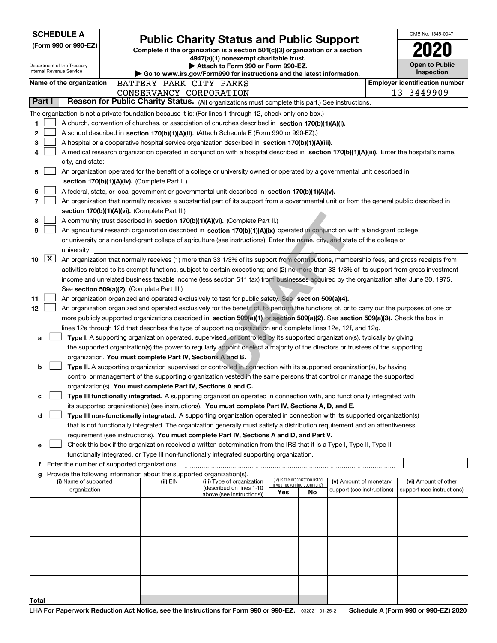| <b>SCHEDULE A</b>          |                                               | <b>Public Charity Status and Public Support</b>                                                                                                                                                                      |     |                                                                |                            | OMB No. 1545-0047                     |
|----------------------------|-----------------------------------------------|----------------------------------------------------------------------------------------------------------------------------------------------------------------------------------------------------------------------|-----|----------------------------------------------------------------|----------------------------|---------------------------------------|
| (Form 990 or 990-EZ)       |                                               | Complete if the organization is a section 501(c)(3) organization or a section                                                                                                                                        |     |                                                                |                            |                                       |
|                            |                                               | 4947(a)(1) nonexempt charitable trust.                                                                                                                                                                               |     |                                                                |                            |                                       |
| Department of the Treasury |                                               | Attach to Form 990 or Form 990-EZ.                                                                                                                                                                                   |     |                                                                |                            | <b>Open to Public</b>                 |
| Internal Revenue Service   |                                               | $\blacktriangleright$ Go to www.irs.gov/Form990 for instructions and the latest information.                                                                                                                         |     |                                                                |                            | Inspection                            |
| Name of the organization   |                                               | BATTERY PARK CITY PARKS                                                                                                                                                                                              |     |                                                                |                            | <b>Employer identification number</b> |
|                            |                                               | CONSERVANCY CORPORATION                                                                                                                                                                                              |     |                                                                |                            | 13-3449909                            |
| Part I                     |                                               | Reason for Public Charity Status. (All organizations must complete this part.) See instructions.                                                                                                                     |     |                                                                |                            |                                       |
|                            |                                               | The organization is not a private foundation because it is: (For lines 1 through 12, check only one box.)                                                                                                            |     |                                                                |                            |                                       |
| 1                          |                                               | A church, convention of churches, or association of churches described in section 170(b)(1)(A)(i).                                                                                                                   |     |                                                                |                            |                                       |
| 2                          |                                               | A school described in section 170(b)(1)(A)(ii). (Attach Schedule E (Form 990 or 990-EZ).)                                                                                                                            |     |                                                                |                            |                                       |
| 3                          |                                               | A hospital or a cooperative hospital service organization described in section 170(b)(1)(A)(iii).                                                                                                                    |     |                                                                |                            |                                       |
|                            |                                               | A medical research organization operated in conjunction with a hospital described in section 170(b)(1)(A)(iii). Enter the hospital's name,                                                                           |     |                                                                |                            |                                       |
| city, and state:           |                                               |                                                                                                                                                                                                                      |     |                                                                |                            |                                       |
| 5                          |                                               | An organization operated for the benefit of a college or university owned or operated by a governmental unit described in                                                                                            |     |                                                                |                            |                                       |
|                            | section 170(b)(1)(A)(iv). (Complete Part II.) |                                                                                                                                                                                                                      |     |                                                                |                            |                                       |
| 6                          |                                               | A federal, state, or local government or governmental unit described in section 170(b)(1)(A)(v).                                                                                                                     |     |                                                                |                            |                                       |
| 7                          |                                               | An organization that normally receives a substantial part of its support from a governmental unit or from the general public described in                                                                            |     |                                                                |                            |                                       |
|                            | section 170(b)(1)(A)(vi). (Complete Part II.) |                                                                                                                                                                                                                      |     |                                                                |                            |                                       |
| 8<br>9                     |                                               | A community trust described in section 170(b)(1)(A)(vi). (Complete Part II.)<br>An agricultural research organization described in section 170(b)(1)(A)(ix) operated in conjunction with a land-grant college        |     |                                                                |                            |                                       |
|                            |                                               | or university or a non-land-grant college of agriculture (see instructions). Enter the name, city, and state of the college or                                                                                       |     |                                                                |                            |                                       |
| university:                |                                               |                                                                                                                                                                                                                      |     |                                                                |                            |                                       |
| $\lfloor x \rfloor$<br>10  |                                               | An organization that normally receives (1) more than 33 1/3% of its support from contributions, membership fees, and gross receipts from                                                                             |     |                                                                |                            |                                       |
|                            |                                               | activities related to its exempt functions, subject to certain exceptions; and (2) no more than 33 1/3% of its support from gross investment                                                                         |     |                                                                |                            |                                       |
|                            |                                               | income and unrelated business taxable income (less section 511 tax) from businesses acquired by the organization after June 30, 1975.                                                                                |     |                                                                |                            |                                       |
|                            | See section 509(a)(2). (Complete Part III.)   |                                                                                                                                                                                                                      |     |                                                                |                            |                                       |
| 11                         |                                               | An organization organized and operated exclusively to test for public safety. See section 509(a)(4).                                                                                                                 |     |                                                                |                            |                                       |
| 12                         |                                               | An organization organized and operated exclusively for the benefit of, to perform the functions of, or to carry out the purposes of one or                                                                           |     |                                                                |                            |                                       |
|                            |                                               | more publicly supported organizations described in section 509(a)(1) or section 509(a)(2). See section 509(a)(3). Check the box in                                                                                   |     |                                                                |                            |                                       |
|                            |                                               | lines 12a through 12d that describes the type of supporting organization and complete lines 12e, 12f, and 12g.                                                                                                       |     |                                                                |                            |                                       |
| a                          |                                               | Type I. A supporting organization operated, supervised, or controlled by its supported organization(s), typically by giving                                                                                          |     |                                                                |                            |                                       |
|                            |                                               | the supported organization(s) the power to regularly appoint or elect a majority of the directors or trustees of the supporting                                                                                      |     |                                                                |                            |                                       |
|                            |                                               | organization. You must complete Part IV, Sections A and B.                                                                                                                                                           |     |                                                                |                            |                                       |
| b                          |                                               | Type II. A supporting organization supervised or controlled in connection with its supported organization(s), by having                                                                                              |     |                                                                |                            |                                       |
|                            |                                               | control or management of the supporting organization vested in the same persons that control or manage the supported                                                                                                 |     |                                                                |                            |                                       |
|                            |                                               | organization(s). You must complete Part IV, Sections A and C.                                                                                                                                                        |     |                                                                |                            |                                       |
| c                          |                                               | Type III functionally integrated. A supporting organization operated in connection with, and functionally integrated with,                                                                                           |     |                                                                |                            |                                       |
|                            |                                               | its supported organization(s) (see instructions). You must complete Part IV, Sections A, D, and E.                                                                                                                   |     |                                                                |                            |                                       |
| d                          |                                               | Type III non-functionally integrated. A supporting organization operated in connection with its supported organization(s)                                                                                            |     |                                                                |                            |                                       |
|                            |                                               | that is not functionally integrated. The organization generally must satisfy a distribution requirement and an attentiveness                                                                                         |     |                                                                |                            |                                       |
|                            |                                               | requirement (see instructions). You must complete Part IV, Sections A and D, and Part V.                                                                                                                             |     |                                                                |                            |                                       |
| е                          |                                               | Check this box if the organization received a written determination from the IRS that it is a Type I, Type II, Type III<br>functionally integrated, or Type III non-functionally integrated supporting organization. |     |                                                                |                            |                                       |
|                            | f Enter the number of supported organizations |                                                                                                                                                                                                                      |     |                                                                |                            |                                       |
|                            |                                               | g Provide the following information about the supported organization(s).                                                                                                                                             |     |                                                                |                            |                                       |
| (i) Name of supported      | (ii) EIN                                      | (iii) Type of organization                                                                                                                                                                                           |     | (iv) Is the organization listed<br>in your governing document? | (v) Amount of monetary     | (vi) Amount of other                  |
| organization               |                                               | (described on lines 1-10<br>above (see instructions))                                                                                                                                                                | Yes | No.                                                            | support (see instructions) | support (see instructions)            |
|                            |                                               |                                                                                                                                                                                                                      |     |                                                                |                            |                                       |
|                            |                                               |                                                                                                                                                                                                                      |     |                                                                |                            |                                       |
|                            |                                               |                                                                                                                                                                                                                      |     |                                                                |                            |                                       |
|                            |                                               |                                                                                                                                                                                                                      |     |                                                                |                            |                                       |
|                            |                                               |                                                                                                                                                                                                                      |     |                                                                |                            |                                       |
|                            |                                               |                                                                                                                                                                                                                      |     |                                                                |                            |                                       |
|                            |                                               |                                                                                                                                                                                                                      |     |                                                                |                            |                                       |
|                            |                                               |                                                                                                                                                                                                                      |     |                                                                |                            |                                       |
|                            |                                               |                                                                                                                                                                                                                      |     |                                                                |                            |                                       |
|                            |                                               |                                                                                                                                                                                                                      |     |                                                                |                            |                                       |
| Total                      |                                               |                                                                                                                                                                                                                      |     |                                                                |                            |                                       |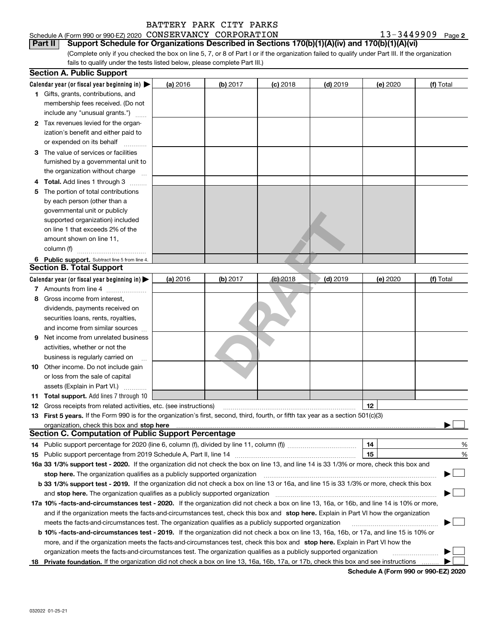#### Schedule A (Form 990 or 990-EZ) 2020 Page CONSERVANCY CORPORATION 13-3449909 **Part II Support Schedule for Organizations Described in Sections 170(b)(1)(A)(iv) and 170(b)(1)(A)(vi)**

(Complete only if you checked the box on line 5, 7, or 8 of Part I or if the organization failed to qualify under Part III. If the organization fails to qualify under the tests listed below, please complete Part III.)

|   | <b>Section A. Public Support</b>                                                                                                                                                                                              |          |          |            |            |          |           |
|---|-------------------------------------------------------------------------------------------------------------------------------------------------------------------------------------------------------------------------------|----------|----------|------------|------------|----------|-----------|
|   | Calendar year (or fiscal year beginning in) $\blacktriangleright$                                                                                                                                                             | (a) 2016 | (b) 2017 | $(c)$ 2018 | $(d)$ 2019 | (e) 2020 | (f) Total |
|   | <b>1</b> Gifts, grants, contributions, and                                                                                                                                                                                    |          |          |            |            |          |           |
|   | membership fees received. (Do not                                                                                                                                                                                             |          |          |            |            |          |           |
|   | include any "unusual grants.")                                                                                                                                                                                                |          |          |            |            |          |           |
|   | 2 Tax revenues levied for the organ-                                                                                                                                                                                          |          |          |            |            |          |           |
|   | ization's benefit and either paid to                                                                                                                                                                                          |          |          |            |            |          |           |
|   | or expended on its behalf                                                                                                                                                                                                     |          |          |            |            |          |           |
|   | 3 The value of services or facilities                                                                                                                                                                                         |          |          |            |            |          |           |
|   | furnished by a governmental unit to                                                                                                                                                                                           |          |          |            |            |          |           |
|   | the organization without charge                                                                                                                                                                                               |          |          |            |            |          |           |
|   | 4 Total. Add lines 1 through 3                                                                                                                                                                                                |          |          |            |            |          |           |
| 5 | The portion of total contributions                                                                                                                                                                                            |          |          |            |            |          |           |
|   | by each person (other than a                                                                                                                                                                                                  |          |          |            |            |          |           |
|   | governmental unit or publicly                                                                                                                                                                                                 |          |          |            |            |          |           |
|   | supported organization) included                                                                                                                                                                                              |          |          |            |            |          |           |
|   | on line 1 that exceeds 2% of the                                                                                                                                                                                              |          |          |            |            |          |           |
|   | amount shown on line 11,                                                                                                                                                                                                      |          |          |            |            |          |           |
|   | column (f)                                                                                                                                                                                                                    |          |          |            |            |          |           |
|   | 6 Public support. Subtract line 5 from line 4.                                                                                                                                                                                |          |          |            |            |          |           |
|   | <b>Section B. Total Support</b>                                                                                                                                                                                               |          |          |            |            |          |           |
|   | Calendar year (or fiscal year beginning in) $\blacktriangleright$                                                                                                                                                             | (a) 2016 | (b) 2017 | $(c)$ 2018 | $(d)$ 2019 | (e) 2020 | (f) Total |
|   | 7 Amounts from line 4                                                                                                                                                                                                         |          |          |            |            |          |           |
| 8 | Gross income from interest,                                                                                                                                                                                                   |          |          |            |            |          |           |
|   | dividends, payments received on                                                                                                                                                                                               |          |          |            |            |          |           |
|   | securities loans, rents, royalties,                                                                                                                                                                                           |          |          |            |            |          |           |
|   | and income from similar sources                                                                                                                                                                                               |          |          |            |            |          |           |
| 9 | Net income from unrelated business                                                                                                                                                                                            |          |          |            |            |          |           |
|   | activities, whether or not the                                                                                                                                                                                                |          |          |            |            |          |           |
|   | business is regularly carried on                                                                                                                                                                                              |          |          |            |            |          |           |
|   | <b>10</b> Other income. Do not include gain                                                                                                                                                                                   |          |          |            |            |          |           |
|   | or loss from the sale of capital                                                                                                                                                                                              |          |          |            |            |          |           |
|   | assets (Explain in Part VI.)                                                                                                                                                                                                  |          |          |            |            |          |           |
|   | <b>11 Total support.</b> Add lines 7 through 10                                                                                                                                                                               |          |          |            |            |          |           |
|   | <b>12</b> Gross receipts from related activities, etc. (see instructions)                                                                                                                                                     |          |          |            |            | 12       |           |
|   | 13 First 5 years. If the Form 990 is for the organization's first, second, third, fourth, or fifth tax year as a section 501(c)(3)                                                                                            |          |          |            |            |          |           |
|   | organization, check this box and stop here manufactured and stop here are all the manufactured and stop here manufactured and stop here are all the manufactured and stop here are all the manufactured and stop here are all |          |          |            |            |          |           |
|   | <b>Section C. Computation of Public Support Percentage</b>                                                                                                                                                                    |          |          |            |            |          |           |
|   |                                                                                                                                                                                                                               |          |          |            |            | 14       | %         |
|   |                                                                                                                                                                                                                               |          |          |            |            | 15       | %         |
|   | 16a 33 1/3% support test - 2020. If the organization did not check the box on line 13, and line 14 is 33 1/3% or more, check this box and                                                                                     |          |          |            |            |          |           |
|   | stop here. The organization qualifies as a publicly supported organization                                                                                                                                                    |          |          |            |            |          |           |
|   | b 33 1/3% support test - 2019. If the organization did not check a box on line 13 or 16a, and line 15 is 33 1/3% or more, check this box                                                                                      |          |          |            |            |          |           |
|   | and <b>stop here.</b> The organization qualifies as a publicly supported organization                                                                                                                                         |          |          |            |            |          |           |
|   | 17a 10% -facts-and-circumstances test - 2020. If the organization did not check a box on line 13, 16a, or 16b, and line 14 is 10% or more,                                                                                    |          |          |            |            |          |           |
|   | and if the organization meets the facts-and-circumstances test, check this box and stop here. Explain in Part VI how the organization                                                                                         |          |          |            |            |          |           |
|   | meets the facts-and-circumstances test. The organization qualifies as a publicly supported organization                                                                                                                       |          |          |            |            |          |           |
|   | <b>b 10% -facts-and-circumstances test - 2019.</b> If the organization did not check a box on line 13, 16a, 16b, or 17a, and line 15 is 10% or                                                                                |          |          |            |            |          |           |
|   | more, and if the organization meets the facts-and-circumstances test, check this box and stop here. Explain in Part VI how the                                                                                                |          |          |            |            |          |           |
|   | organization meets the facts-and-circumstances test. The organization qualifies as a publicly supported organization                                                                                                          |          |          |            |            |          |           |
|   | 18 Private foundation. If the organization did not check a box on line 13, 16a, 16b, 17a, or 17b, check this box and see instructions                                                                                         |          |          |            |            |          |           |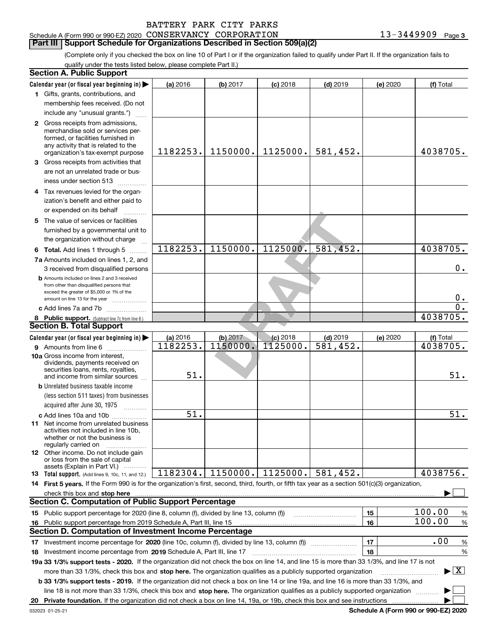| BATTERY PARK CITY PARKS |  |
|-------------------------|--|
|-------------------------|--|

## **Part III Support Schedule for Organizations Described in Section 509(a)(2)**

(Complete only if you checked the box on line 10 of Part I or if the organization failed to qualify under Part II. If the organization fails to qualify under the tests listed below, please complete Part II.)

|    | <b>Section A. Public Support</b>                                                                                                                                                                                                     |                   |            |                   |            |          |                                          |
|----|--------------------------------------------------------------------------------------------------------------------------------------------------------------------------------------------------------------------------------------|-------------------|------------|-------------------|------------|----------|------------------------------------------|
|    | Calendar year (or fiscal year beginning in)                                                                                                                                                                                          | (a) 2016          | (b) 2017   | $(c)$ 2018        | $(d)$ 2019 | (e) 2020 | (f) Total                                |
|    | 1 Gifts, grants, contributions, and                                                                                                                                                                                                  |                   |            |                   |            |          |                                          |
|    | membership fees received. (Do not                                                                                                                                                                                                    |                   |            |                   |            |          |                                          |
|    | include any "unusual grants.")                                                                                                                                                                                                       |                   |            |                   |            |          |                                          |
|    | 2 Gross receipts from admissions,                                                                                                                                                                                                    |                   |            |                   |            |          |                                          |
|    | merchandise sold or services per-                                                                                                                                                                                                    |                   |            |                   |            |          |                                          |
|    | formed, or facilities furnished in                                                                                                                                                                                                   |                   |            |                   |            |          |                                          |
|    | any activity that is related to the<br>organization's tax-exempt purpose                                                                                                                                                             | 1182253.          | 1150000.   | 1125000.          | 581,452.   |          | 4038705.                                 |
|    | 3 Gross receipts from activities that                                                                                                                                                                                                |                   |            |                   |            |          |                                          |
|    | are not an unrelated trade or bus-                                                                                                                                                                                                   |                   |            |                   |            |          |                                          |
|    | iness under section 513                                                                                                                                                                                                              |                   |            |                   |            |          |                                          |
|    | 4 Tax revenues levied for the organ-                                                                                                                                                                                                 |                   |            |                   |            |          |                                          |
|    | ization's benefit and either paid to                                                                                                                                                                                                 |                   |            |                   |            |          |                                          |
|    | or expended on its behalf                                                                                                                                                                                                            |                   |            |                   |            |          |                                          |
|    | 5 The value of services or facilities                                                                                                                                                                                                |                   |            |                   |            |          |                                          |
|    | furnished by a governmental unit to                                                                                                                                                                                                  |                   |            |                   |            |          |                                          |
|    | the organization without charge                                                                                                                                                                                                      |                   |            |                   |            |          |                                          |
|    |                                                                                                                                                                                                                                      | 1182253.          | 1150000.   | 1125000.          | 581, 452.  |          | 4038705.                                 |
|    | <b>6 Total.</b> Add lines 1 through 5                                                                                                                                                                                                |                   |            |                   |            |          |                                          |
|    | 7a Amounts included on lines 1, 2, and                                                                                                                                                                                               |                   |            |                   |            |          | $0$ .                                    |
|    | 3 received from disqualified persons                                                                                                                                                                                                 |                   |            |                   |            |          |                                          |
|    | <b>b</b> Amounts included on lines 2 and 3 received<br>from other than disqualified persons that                                                                                                                                     |                   |            |                   |            |          |                                          |
|    | exceed the greater of \$5,000 or 1% of the                                                                                                                                                                                           |                   |            |                   |            |          |                                          |
|    | amount on line 13 for the year                                                                                                                                                                                                       |                   |            |                   |            |          | $0$ .                                    |
|    | c Add lines 7a and 7b                                                                                                                                                                                                                |                   |            |                   |            |          | $\overline{0}$ .                         |
|    | 8 Public support. (Subtract line 7c from line 6.)                                                                                                                                                                                    |                   |            |                   |            |          | 4038705.                                 |
|    | <b>Section B. Total Support</b>                                                                                                                                                                                                      |                   |            |                   |            |          |                                          |
|    | Calendar year (or fiscal year beginning in)                                                                                                                                                                                          | (a) 2016          | $(b)$ 2017 | $(c)$ 2018        | $(d)$ 2019 | (e) 2020 | (f) Total                                |
|    | 9 Amounts from line 6                                                                                                                                                                                                                | 1182253.          | 1150000.   | 1125000.          | 581,452.   |          | 4038705.                                 |
|    | 10a Gross income from interest,<br>dividends, payments received on                                                                                                                                                                   |                   |            |                   |            |          |                                          |
|    | securities loans, rents, royalties,                                                                                                                                                                                                  |                   |            |                   |            |          |                                          |
|    | and income from similar sources                                                                                                                                                                                                      | 51.               |            |                   |            |          | 51.                                      |
|    | <b>b</b> Unrelated business taxable income                                                                                                                                                                                           |                   |            |                   |            |          |                                          |
|    | (less section 511 taxes) from businesses                                                                                                                                                                                             |                   |            |                   |            |          |                                          |
|    |                                                                                                                                                                                                                                      |                   |            |                   |            |          |                                          |
|    | c Add lines 10a and 10b                                                                                                                                                                                                              | $\overline{51}$ . |            |                   |            |          | 51.                                      |
|    | 11 Net income from unrelated business                                                                                                                                                                                                |                   |            |                   |            |          |                                          |
|    | activities not included in line 10b,<br>whether or not the business is                                                                                                                                                               |                   |            |                   |            |          |                                          |
|    | regularly carried on                                                                                                                                                                                                                 |                   |            |                   |            |          |                                          |
|    | 12 Other income. Do not include gain                                                                                                                                                                                                 |                   |            |                   |            |          |                                          |
|    | or loss from the sale of capital<br>assets (Explain in Part VI.)                                                                                                                                                                     |                   |            |                   |            |          |                                          |
|    | 13 Total support. (Add lines 9, 10c, 11, and 12.)                                                                                                                                                                                    | 1182304.          |            | 1150000. 1125000. | 581,452.   |          | 4038756.                                 |
|    | 14 First 5 years. If the Form 990 is for the organization's first, second, third, fourth, or fifth tax year as a section 501(c)(3) organization,                                                                                     |                   |            |                   |            |          |                                          |
|    | check this box and stop here <b>with the contract of the contract of the state of the state of the state of the state of the state of the state of the state of the state of the state of the state of the state of the state of</b> |                   |            |                   |            |          |                                          |
|    | <b>Section C. Computation of Public Support Percentage</b>                                                                                                                                                                           |                   |            |                   |            |          |                                          |
|    | 15 Public support percentage for 2020 (line 8, column (f), divided by line 13, column (f))                                                                                                                                           |                   |            |                   |            | 15       | 100.00<br>%                              |
| 16 | Public support percentage from 2019 Schedule A, Part III, line 15                                                                                                                                                                    |                   |            |                   |            | 16       | 100.00<br>%                              |
|    | <b>Section D. Computation of Investment Income Percentage</b>                                                                                                                                                                        |                   |            |                   |            |          |                                          |
| 17 | Investment income percentage for 2020 (line 10c, column (f), divided by line 13, column (f))                                                                                                                                         |                   |            |                   |            | 17       | .00<br>%                                 |
|    | 18 Investment income percentage from 2019 Schedule A, Part III, line 17                                                                                                                                                              |                   |            |                   |            | 18       | %                                        |
|    | 19a 33 1/3% support tests - 2020. If the organization did not check the box on line 14, and line 15 is more than 33 1/3%, and line 17 is not                                                                                         |                   |            |                   |            |          |                                          |
|    | more than 33 1/3%, check this box and stop here. The organization qualifies as a publicly supported organization                                                                                                                     |                   |            |                   |            |          | $\blacktriangleright$ $\boxed{\text{X}}$ |
|    | <b>b 33 1/3% support tests - 2019.</b> If the organization did not check a box on line 14 or line 19a, and line 16 is more than 33 1/3%, and                                                                                         |                   |            |                   |            |          |                                          |
|    | line 18 is not more than 33 1/3%, check this box and stop here. The organization qualifies as a publicly supported organization                                                                                                      |                   |            |                   |            |          |                                          |
| 20 |                                                                                                                                                                                                                                      |                   |            |                   |            |          |                                          |
|    |                                                                                                                                                                                                                                      |                   |            |                   |            |          |                                          |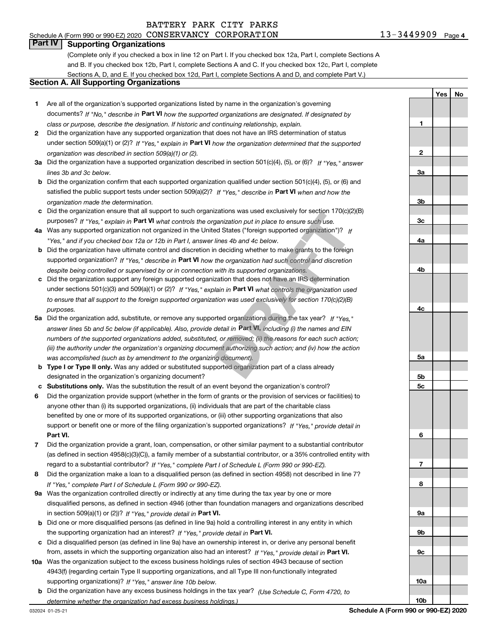**YesNo**

#### **Part IV** | Supporting Organizations

(Complete only if you checked a box in line 12 on Part I. If you checked box 12a, Part I, complete Sections A and B. If you checked box 12b, Part I, complete Sections A and C. If you checked box 12c, Part I, complete Sections A, D, and E. If you checked box 12d, Part I, complete Sections A and D, and complete Part V.)

#### **Section A. All Supporting Organizations**

- **1** Are all of the organization's supported organizations listed by name in the organization's governing documents? If "No," describe in **Part VI** how the supported organizations are designated. If designated by *class or purpose, describe the designation. If historic and continuing relationship, explain.*
- **2**under section 509(a)(1) or (2)? If "Yes," explain in Part VI how the organization determined that the supported *organization was described in section 509(a)(1) or (2).* Did the organization have any supported organization that does not have an IRS determination of status
- **3a** Did the organization have a supported organization described in section 501(c)(4), (5), or (6)? If "Yes," answer *lines 3b and 3c below.*
- **b** Did the organization confirm that each supported organization qualified under section 501(c)(4), (5), or (6) and satisfied the public support tests under section 509(a)(2)? If "Yes," describe in **Part VI** when and how the *organization made the determination.*
- **c**Did the organization ensure that all support to such organizations was used exclusively for section 170(c)(2)(B) purposes? If "Yes," explain in **Part VI** what controls the organization put in place to ensure such use.
- **4a***If* Was any supported organization not organized in the United States ("foreign supported organization")? *"Yes," and if you checked box 12a or 12b in Part I, answer lines 4b and 4c below.*
- **b** Did the organization have ultimate control and discretion in deciding whether to make grants to the foreign supported organization? If "Yes," describe in **Part VI** how the organization had such control and discretion *despite being controlled or supervised by or in connection with its supported organizations.*
- **c** Did the organization support any foreign supported organization that does not have an IRS determination under sections 501(c)(3) and 509(a)(1) or (2)? If "Yes," explain in **Part VI** what controls the organization used *to ensure that all support to the foreign supported organization was used exclusively for section 170(c)(2)(B) purposes.*
- **5a***If "Yes,"* Did the organization add, substitute, or remove any supported organizations during the tax year? answer lines 5b and 5c below (if applicable). Also, provide detail in **Part VI,** including (i) the names and EIN *numbers of the supported organizations added, substituted, or removed; (ii) the reasons for each such action; (iii) the authority under the organization's organizing document authorizing such action; and (iv) how the action was accomplished (such as by amendment to the organizing document).* Izations was used exclusively for section 170<sub>(C)</sub>(*z*<br>ganization put in place to ensure such use.<br>ed States ("foreign supported organization")? If<br>lines 4b and 4c below.<br>n deciding whether to make grants to the foreign<br>th
- **b** Type I or Type II only. Was any added or substituted supported organization part of a class already designated in the organization's organizing document?
- **cSubstitutions only.**  Was the substitution the result of an event beyond the organization's control?
- **6** Did the organization provide support (whether in the form of grants or the provision of services or facilities) to **Part VI.** *If "Yes," provide detail in* support or benefit one or more of the filing organization's supported organizations? anyone other than (i) its supported organizations, (ii) individuals that are part of the charitable class benefited by one or more of its supported organizations, or (iii) other supporting organizations that also
- **7**Did the organization provide a grant, loan, compensation, or other similar payment to a substantial contributor *If "Yes," complete Part I of Schedule L (Form 990 or 990-EZ).* regard to a substantial contributor? (as defined in section 4958(c)(3)(C)), a family member of a substantial contributor, or a 35% controlled entity with
- **8***If "Yes," complete Part I of Schedule L (Form 990 or 990-EZ).* Did the organization make a loan to a disqualified person (as defined in section 4958) not described in line 7?
- **9a** Was the organization controlled directly or indirectly at any time during the tax year by one or more in section 509(a)(1) or (2))? If "Yes," *provide detail in* <code>Part VI.</code> disqualified persons, as defined in section 4946 (other than foundation managers and organizations described
- **b**the supporting organization had an interest? If "Yes," provide detail in P**art VI**. Did one or more disqualified persons (as defined in line 9a) hold a controlling interest in any entity in which
- **c**Did a disqualified person (as defined in line 9a) have an ownership interest in, or derive any personal benefit from, assets in which the supporting organization also had an interest? If "Yes," provide detail in P**art VI.**
- **10a** Was the organization subject to the excess business holdings rules of section 4943 because of section supporting organizations)? If "Yes," answer line 10b below. 4943(f) (regarding certain Type II supporting organizations, and all Type III non-functionally integrated
- **b** Did the organization have any excess business holdings in the tax year? (Use Schedule C, Form 4720, to *determine whether the organization had excess business holdings.)*

| 1              |  |
|----------------|--|
|                |  |
|                |  |
| $\overline{2}$ |  |
|                |  |
| <u>3a</u>      |  |
|                |  |
|                |  |
| $\frac{3b}{2}$ |  |
|                |  |
| $\frac{3c}{2}$ |  |
|                |  |
| <u>4a</u>      |  |
|                |  |
|                |  |
| <u>4b</u>      |  |
|                |  |
|                |  |
|                |  |
| $rac{4c}{2}$   |  |
|                |  |
|                |  |
|                |  |
|                |  |
| <u>5a</u>      |  |
|                |  |
| <u>5b</u>      |  |
| <u>5c</u>      |  |
|                |  |
|                |  |
|                |  |
|                |  |
| 6              |  |
|                |  |
|                |  |
| $\overline{1}$ |  |
|                |  |
| 8              |  |
|                |  |
| <u>9a</u>      |  |
|                |  |
| <u>9b</u>      |  |
|                |  |
| $\frac{9c}{2}$ |  |
|                |  |
|                |  |
| <u>10a</u>     |  |
|                |  |

**10b**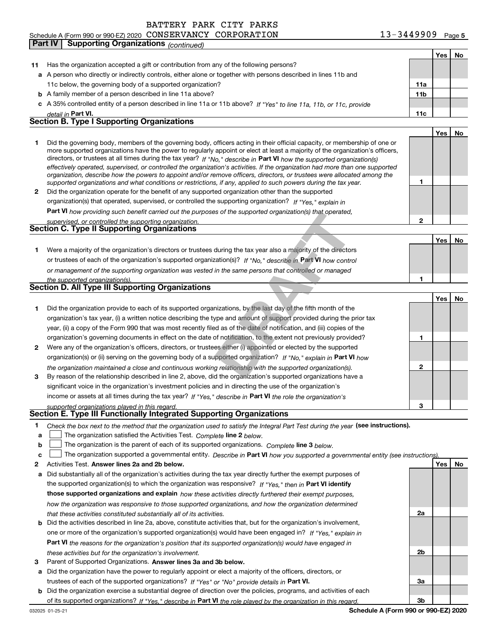### Schedule A (Form 990 or 990-EZ) 2020 Page CONSERVANCY CORPORATION 13-3449909 **Part IV Supporting Organizations** *(continued)*

**Yes No**

| 11           | Has the organization accepted a gift or contribution from any of the following persons?                                                                                                                                                                   |                |     |    |
|--------------|-----------------------------------------------------------------------------------------------------------------------------------------------------------------------------------------------------------------------------------------------------------|----------------|-----|----|
|              | a A person who directly or indirectly controls, either alone or together with persons described in lines 11b and                                                                                                                                          |                |     |    |
|              | 11c below, the governing body of a supported organization?                                                                                                                                                                                                | 11a            |     |    |
|              | <b>b</b> A family member of a person described in line 11a above?                                                                                                                                                                                         | 11b            |     |    |
|              | c A 35% controlled entity of a person described in line 11a or 11b above? If "Yes" to line 11a, 11b, or 11c, provide                                                                                                                                      |                |     |    |
|              | detail in Part VI.                                                                                                                                                                                                                                        | 11c            |     |    |
|              | <b>Section B. Type I Supporting Organizations</b>                                                                                                                                                                                                         |                |     |    |
|              |                                                                                                                                                                                                                                                           |                | Yes | No |
| 1            | Did the governing body, members of the governing body, officers acting in their official capacity, or membership of one or                                                                                                                                |                |     |    |
|              | more supported organizations have the power to regularly appoint or elect at least a majority of the organization's officers,                                                                                                                             |                |     |    |
|              | directors, or trustees at all times during the tax year? If "No," describe in Part VI how the supported organization(s)<br>effectively operated, supervised, or controlled the organization's activities. If the organization had more than one supported |                |     |    |
|              | organization, describe how the powers to appoint and/or remove officers, directors, or trustees were allocated among the                                                                                                                                  |                |     |    |
|              | supported organizations and what conditions or restrictions, if any, applied to such powers during the tax year.                                                                                                                                          | 1              |     |    |
| $\mathbf{2}$ | Did the organization operate for the benefit of any supported organization other than the supported                                                                                                                                                       |                |     |    |
|              | organization(s) that operated, supervised, or controlled the supporting organization? If "Yes," explain in                                                                                                                                                |                |     |    |
|              | <b>Part VI</b> how providing such benefit carried out the purposes of the supported organization(s) that operated,                                                                                                                                        |                |     |    |
|              | supervised, or controlled the supporting organization.                                                                                                                                                                                                    | $\mathbf{2}$   |     |    |
|              | <b>Section C. Type II Supporting Organizations</b>                                                                                                                                                                                                        |                |     |    |
|              |                                                                                                                                                                                                                                                           |                | Yes | No |
| 1.           | Were a majority of the organization's directors or trustees during the tax year also a majority of the directors                                                                                                                                          |                |     |    |
|              | or trustees of each of the organization's supported organization(s)? If "No," describe in Part VI how control                                                                                                                                             |                |     |    |
|              | or management of the supporting organization was vested in the same persons that controlled or managed                                                                                                                                                    |                |     |    |
|              | the supported organization(s).<br>Section D. All Type III Supporting Organizations                                                                                                                                                                        | 1              |     |    |
|              |                                                                                                                                                                                                                                                           |                |     |    |
|              |                                                                                                                                                                                                                                                           |                | Yes | No |
| 1.           | Did the organization provide to each of its supported organizations, by the last day of the fifth month of the                                                                                                                                            |                |     |    |
|              | organization's tax year, (i) a written notice describing the type and amount of support provided during the prior tax                                                                                                                                     |                |     |    |
|              | year, (ii) a copy of the Form 990 that was most recently filed as of the date of notification, and (iii) copies of the                                                                                                                                    |                |     |    |
|              | organization's governing documents in effect on the date of notification, to the extent not previously provided?                                                                                                                                          | 1              |     |    |
| 2            | Were any of the organization's officers, directors, or trustees either (i) appointed or elected by the supported<br>organization(s) or (ii) serving on the governing body of a supported organization? If "No," explain in Part VI how                    |                |     |    |
|              |                                                                                                                                                                                                                                                           | $\mathbf{2}$   |     |    |
| 3            | the organization maintained a close and continuous working relationship with the supported organization(s).<br>By reason of the relationship described in line 2, above, did the organization's supported organizations have a                            |                |     |    |
|              | significant voice in the organization's investment policies and in directing the use of the organization's                                                                                                                                                |                |     |    |
|              | income or assets at all times during the tax year? If "Yes," describe in Part VI the role the organization's                                                                                                                                              |                |     |    |
|              | supported organizations played in this regard.                                                                                                                                                                                                            | 3              |     |    |
|              | Section E. Type III Functionally Integrated Supporting Organizations                                                                                                                                                                                      |                |     |    |
| 1            | Check the box next to the method that the organization used to satisfy the Integral Part Test during the year (see instructions).                                                                                                                         |                |     |    |
| a            | The organization satisfied the Activities Test. Complete line 2 below.                                                                                                                                                                                    |                |     |    |
| b            | The organization is the parent of each of its supported organizations. Complete line 3 below.                                                                                                                                                             |                |     |    |
| c            | The organization supported a governmental entity. Describe in Part VI how you supported a governmental entity (see instructions).                                                                                                                         |                |     |    |
| 2            | Activities Test. Answer lines 2a and 2b below.                                                                                                                                                                                                            |                | Yes | No |
| а            | Did substantially all of the organization's activities during the tax year directly further the exempt purposes of                                                                                                                                        |                |     |    |
|              | the supported organization(s) to which the organization was responsive? If "Yes," then in Part VI identify                                                                                                                                                |                |     |    |
|              | those supported organizations and explain how these activities directly furthered their exempt purposes,                                                                                                                                                  |                |     |    |
|              | how the organization was responsive to those supported organizations, and how the organization determined                                                                                                                                                 |                |     |    |
|              | that these activities constituted substantially all of its activities.                                                                                                                                                                                    | 2a             |     |    |
| b            | Did the activities described in line 2a, above, constitute activities that, but for the organization's involvement,                                                                                                                                       |                |     |    |
|              | one or more of the organization's supported organization(s) would have been engaged in? If "Yes," explain in                                                                                                                                              |                |     |    |
|              | <b>Part VI</b> the reasons for the organization's position that its supported organization(s) would have engaged in                                                                                                                                       |                |     |    |
|              | these activities but for the organization's involvement.                                                                                                                                                                                                  | 2 <sub>b</sub> |     |    |
| з            | Parent of Supported Organizations. Answer lines 3a and 3b below.                                                                                                                                                                                          |                |     |    |
| а            | Did the organization have the power to regularly appoint or elect a majority of the officers, directors, or                                                                                                                                               |                |     |    |
|              | trustees of each of the supported organizations? If "Yes" or "No" provide details in Part VI.                                                                                                                                                             | За             |     |    |
| b            | Did the organization exercise a substantial degree of direction over the policies, programs, and activities of each                                                                                                                                       |                |     |    |
|              | of its supported organizations? If "Yes." describe in Part VI the role played by the organization in this regard.                                                                                                                                         | 3b             |     |    |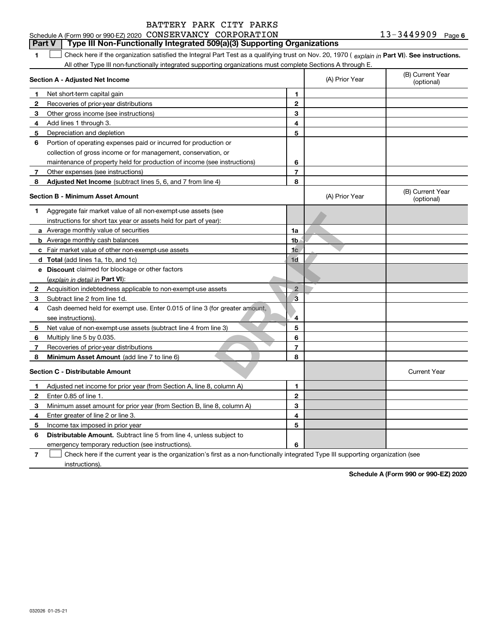|  | BATTERY PARK CITY PARKS |  |
|--|-------------------------|--|
|  |                         |  |
|  |                         |  |
|  |                         |  |

## **Part V Type III Non-Functionally Integrated 509(a)(3) Supporting Organizations**

**1**1 Check here if the organization satisfied the Integral Part Test as a qualifying trust on Nov. 20, 1970 (explain in Part VI). See instructions. All other Type III non-functionally integrated supporting organizations must complete Sections A through E.

|              | Section A - Adjusted Net Income                                                                                                   |                | (A) Prior Year | (B) Current Year<br>(optional) |
|--------------|-----------------------------------------------------------------------------------------------------------------------------------|----------------|----------------|--------------------------------|
| 1.           | Net short-term capital gain                                                                                                       | 1              |                |                                |
| 2            | Recoveries of prior-year distributions                                                                                            | $\overline{2}$ |                |                                |
| з            | Other gross income (see instructions)                                                                                             | 3              |                |                                |
| 4            | Add lines 1 through 3.                                                                                                            | 4              |                |                                |
| 5            | Depreciation and depletion                                                                                                        | 5              |                |                                |
| 6            | Portion of operating expenses paid or incurred for production or                                                                  |                |                |                                |
|              | collection of gross income or for management, conservation, or                                                                    |                |                |                                |
|              | maintenance of property held for production of income (see instructions)                                                          | 6              |                |                                |
| 7            | Other expenses (see instructions)                                                                                                 | $\overline{7}$ |                |                                |
| 8            | Adjusted Net Income (subtract lines 5, 6, and 7 from line 4)                                                                      | 8              |                |                                |
|              | <b>Section B - Minimum Asset Amount</b>                                                                                           |                | (A) Prior Year | (B) Current Year<br>(optional) |
| 1.           | Aggregate fair market value of all non-exempt-use assets (see                                                                     |                |                |                                |
|              | instructions for short tax year or assets held for part of year):                                                                 |                |                |                                |
|              | <b>a</b> Average monthly value of securities                                                                                      | 1a             |                |                                |
|              | <b>b</b> Average monthly cash balances                                                                                            | 1b             |                |                                |
|              | c Fair market value of other non-exempt-use assets                                                                                | 1 <sub>c</sub> |                |                                |
|              | d Total (add lines 1a, 1b, and 1c)                                                                                                | 1d             |                |                                |
|              | e Discount claimed for blockage or other factors                                                                                  |                |                |                                |
|              | (explain in detail in Part VI):                                                                                                   |                |                |                                |
| $\mathbf{2}$ | Acquisition indebtedness applicable to non-exempt-use assets                                                                      | $\overline{2}$ |                |                                |
| 3            | Subtract line 2 from line 1d.                                                                                                     | 3              |                |                                |
| 4            | Cash deemed held for exempt use. Enter 0.015 of line 3 (for greater amount,                                                       |                |                |                                |
|              | see instructions).                                                                                                                | 4              |                |                                |
| 5            | Net value of non-exempt-use assets (subtract line 4 from line 3)                                                                  | 5              |                |                                |
| 6            | Multiply line 5 by 0.035.                                                                                                         | 6              |                |                                |
| 7            | Recoveries of prior-year distributions                                                                                            | $\overline{7}$ |                |                                |
| 8            | Minimum Asset Amount (add line 7 to line 6)                                                                                       | 8              |                |                                |
|              | <b>Section C - Distributable Amount</b>                                                                                           |                |                | <b>Current Year</b>            |
| 1            | Adjusted net income for prior year (from Section A, line 8, column A)                                                             | 1              |                |                                |
| 2            | Enter 0.85 of line 1.                                                                                                             | $\overline{2}$ |                |                                |
| з            | Minimum asset amount for prior year (from Section B, line 8, column A)                                                            | 3              |                |                                |
| 4            | Enter greater of line 2 or line 3.                                                                                                | 4              |                |                                |
| 5            | Income tax imposed in prior year                                                                                                  | 5              |                |                                |
| 6            | <b>Distributable Amount.</b> Subtract line 5 from line 4, unless subject to                                                       |                |                |                                |
|              | emergency temporary reduction (see instructions).                                                                                 | 6              |                |                                |
| 7            | Check here if the current year is the organization's first as a non-functionally integrated Type III supporting organization (see |                |                |                                |

instructions).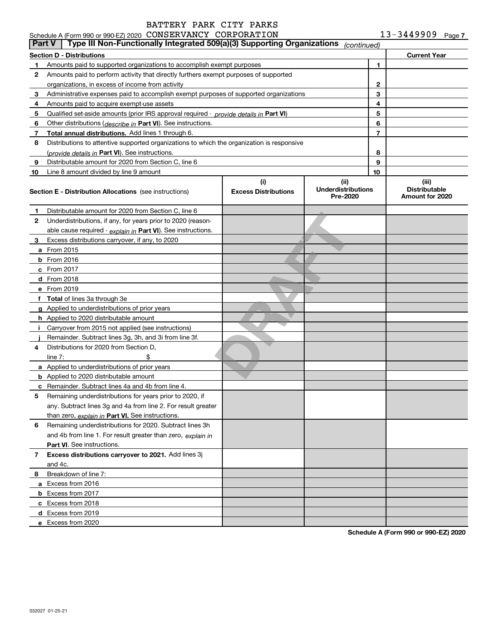|          | Schedule A (Form 990 or 990-EZ) 2020 CONSERVANCY CORPORATION<br>13-3449909<br>Page 7<br>Type III Non-Functionally Integrated 509(a)(3) Supporting Organizations |                                    |                                               |    |                                                  |  |  |
|----------|-----------------------------------------------------------------------------------------------------------------------------------------------------------------|------------------------------------|-----------------------------------------------|----|--------------------------------------------------|--|--|
| l Part V |                                                                                                                                                                 |                                    | (continued)                                   |    |                                                  |  |  |
|          | <b>Section D - Distributions</b>                                                                                                                                |                                    |                                               |    | <b>Current Year</b>                              |  |  |
| 1        | Amounts paid to supported organizations to accomplish exempt purposes                                                                                           |                                    |                                               | 1  |                                                  |  |  |
| 2        | Amounts paid to perform activity that directly furthers exempt purposes of supported                                                                            |                                    |                                               |    |                                                  |  |  |
|          | organizations, in excess of income from activity                                                                                                                | 2                                  |                                               |    |                                                  |  |  |
| 3        | Administrative expenses paid to accomplish exempt purposes of supported organizations                                                                           | 3                                  |                                               |    |                                                  |  |  |
| 4        | Amounts paid to acquire exempt-use assets                                                                                                                       |                                    |                                               | 4  |                                                  |  |  |
| 5        | Qualified set-aside amounts (prior IRS approval required - <i>provide details in</i> Part VI)                                                                   |                                    |                                               | 5  |                                                  |  |  |
| 6        | Other distributions ( <i>describe in</i> Part VI). See instructions.                                                                                            |                                    |                                               | 6  |                                                  |  |  |
| 7        | Total annual distributions. Add lines 1 through 6.                                                                                                              |                                    |                                               | 7  |                                                  |  |  |
| 8        | Distributions to attentive supported organizations to which the organization is responsive                                                                      |                                    |                                               |    |                                                  |  |  |
|          | (provide details in Part VI). See instructions.                                                                                                                 | 8                                  |                                               |    |                                                  |  |  |
| 9        | Distributable amount for 2020 from Section C, line 6                                                                                                            | 9                                  |                                               |    |                                                  |  |  |
| 10       | Line 8 amount divided by line 9 amount                                                                                                                          |                                    |                                               | 10 |                                                  |  |  |
|          | <b>Section E - Distribution Allocations</b> (see instructions)                                                                                                  | (i)<br><b>Excess Distributions</b> | (ii)<br><b>Underdistributions</b><br>Pre-2020 |    | (iii)<br><b>Distributable</b><br>Amount for 2020 |  |  |
| 1        | Distributable amount for 2020 from Section C, line 6                                                                                                            |                                    |                                               |    |                                                  |  |  |
| 2        | Underdistributions, if any, for years prior to 2020 (reason-                                                                                                    |                                    |                                               |    |                                                  |  |  |
|          | able cause required $\cdot$ explain in Part VI). See instructions.                                                                                              |                                    |                                               |    |                                                  |  |  |
| 3        | Excess distributions carryover, if any, to 2020                                                                                                                 |                                    |                                               |    |                                                  |  |  |
|          | <b>a</b> From 2015                                                                                                                                              |                                    |                                               |    |                                                  |  |  |
|          | $b$ From 2016                                                                                                                                                   |                                    |                                               |    |                                                  |  |  |
|          | c From 2017                                                                                                                                                     |                                    |                                               |    |                                                  |  |  |
|          | d From 2018                                                                                                                                                     |                                    |                                               |    |                                                  |  |  |
|          | e From 2019                                                                                                                                                     |                                    |                                               |    |                                                  |  |  |
|          | f Total of lines 3a through 3e                                                                                                                                  |                                    |                                               |    |                                                  |  |  |
|          | g Applied to underdistributions of prior years                                                                                                                  |                                    |                                               |    |                                                  |  |  |
|          | <b>h</b> Applied to 2020 distributable amount                                                                                                                   |                                    |                                               |    |                                                  |  |  |
|          | i Carryover from 2015 not applied (see instructions)                                                                                                            |                                    |                                               |    |                                                  |  |  |
|          | Remainder. Subtract lines 3g, 3h, and 3i from line 3f.                                                                                                          |                                    |                                               |    |                                                  |  |  |
| 4        | Distributions for 2020 from Section D,                                                                                                                          |                                    |                                               |    |                                                  |  |  |
|          | line $7:$<br>\$                                                                                                                                                 |                                    |                                               |    |                                                  |  |  |
|          | a Applied to underdistributions of prior years                                                                                                                  |                                    |                                               |    |                                                  |  |  |
|          | <b>b</b> Applied to 2020 distributable amount                                                                                                                   |                                    |                                               |    |                                                  |  |  |
|          | <b>c</b> Remainder. Subtract lines 4a and 4b from line 4.                                                                                                       |                                    |                                               |    |                                                  |  |  |
|          | Remaining underdistributions for years prior to 2020, if                                                                                                        |                                    |                                               |    |                                                  |  |  |
|          | any. Subtract lines 3g and 4a from line 2. For result greater                                                                                                   |                                    |                                               |    |                                                  |  |  |
|          | than zero, explain in Part VI. See instructions.                                                                                                                |                                    |                                               |    |                                                  |  |  |
| 6        | Remaining underdistributions for 2020. Subtract lines 3h                                                                                                        |                                    |                                               |    |                                                  |  |  |
|          | and 4b from line 1. For result greater than zero, explain in                                                                                                    |                                    |                                               |    |                                                  |  |  |
|          | Part VI. See instructions.                                                                                                                                      |                                    |                                               |    |                                                  |  |  |
| 7        | Excess distributions carryover to 2021. Add lines 3j                                                                                                            |                                    |                                               |    |                                                  |  |  |
|          | and 4c.                                                                                                                                                         |                                    |                                               |    |                                                  |  |  |
| 8        | Breakdown of line 7:                                                                                                                                            |                                    |                                               |    |                                                  |  |  |
|          | a Excess from 2016                                                                                                                                              |                                    |                                               |    |                                                  |  |  |
|          | <b>b</b> Excess from 2017                                                                                                                                       |                                    |                                               |    |                                                  |  |  |
|          | c Excess from 2018                                                                                                                                              |                                    |                                               |    |                                                  |  |  |
|          | d Excess from 2019                                                                                                                                              |                                    |                                               |    |                                                  |  |  |
|          | e Excess from 2020                                                                                                                                              |                                    |                                               |    |                                                  |  |  |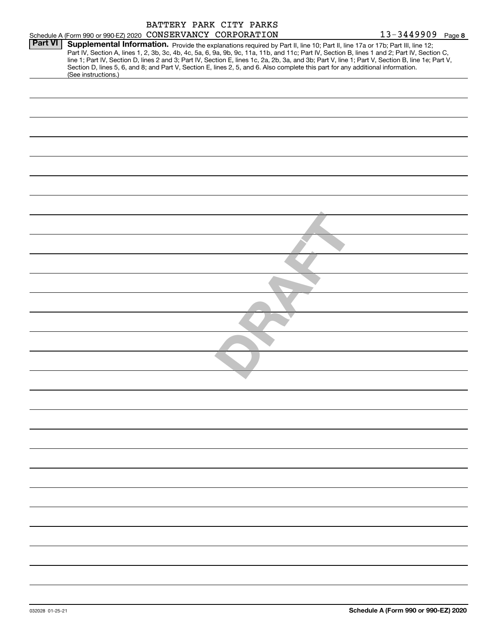|                |                                                              |  | BATTERY PARK CITY PARKS                                                                                                         |                                                                                                                                                                                                                                                                                                                       |
|----------------|--------------------------------------------------------------|--|---------------------------------------------------------------------------------------------------------------------------------|-----------------------------------------------------------------------------------------------------------------------------------------------------------------------------------------------------------------------------------------------------------------------------------------------------------------------|
| <b>Part VI</b> | Schedule A (Form 990 or 990-EZ) 2020 CONSERVANCY CORPORATION |  | Supplemental Information. Provide the explanations required by Part II, line 10; Part II, line 17a or 17b; Part III, line 12;   | 13-3449909 Page 8<br>Part IV, Section A, lines 1, 2, 3b, 3c, 4b, 4c, 5a, 6, 9a, 9b, 9c, 11a, 11b, and 11c; Part IV, Section B, lines 1 and 2; Part IV, Section C,<br>line 1; Part IV, Section D, lines 2 and 3; Part IV, Section E, lines 1c, 2a, 2b, 3a, and 3b; Part V, line 1; Part V, Section B, line 1e; Part V, |
|                | (See instructions.)                                          |  | Section D, lines 5, 6, and 8; and Part V, Section E, lines 2, 5, and 6. Also complete this part for any additional information. |                                                                                                                                                                                                                                                                                                                       |
|                |                                                              |  |                                                                                                                                 |                                                                                                                                                                                                                                                                                                                       |
|                |                                                              |  |                                                                                                                                 |                                                                                                                                                                                                                                                                                                                       |
|                |                                                              |  |                                                                                                                                 |                                                                                                                                                                                                                                                                                                                       |
|                |                                                              |  |                                                                                                                                 |                                                                                                                                                                                                                                                                                                                       |
|                |                                                              |  |                                                                                                                                 |                                                                                                                                                                                                                                                                                                                       |
|                |                                                              |  |                                                                                                                                 |                                                                                                                                                                                                                                                                                                                       |
|                |                                                              |  |                                                                                                                                 |                                                                                                                                                                                                                                                                                                                       |
|                |                                                              |  |                                                                                                                                 |                                                                                                                                                                                                                                                                                                                       |
|                |                                                              |  |                                                                                                                                 |                                                                                                                                                                                                                                                                                                                       |
|                |                                                              |  |                                                                                                                                 |                                                                                                                                                                                                                                                                                                                       |
|                |                                                              |  |                                                                                                                                 |                                                                                                                                                                                                                                                                                                                       |
|                |                                                              |  |                                                                                                                                 |                                                                                                                                                                                                                                                                                                                       |
|                |                                                              |  |                                                                                                                                 |                                                                                                                                                                                                                                                                                                                       |
|                |                                                              |  |                                                                                                                                 |                                                                                                                                                                                                                                                                                                                       |
|                |                                                              |  |                                                                                                                                 |                                                                                                                                                                                                                                                                                                                       |
|                |                                                              |  |                                                                                                                                 |                                                                                                                                                                                                                                                                                                                       |
|                |                                                              |  |                                                                                                                                 |                                                                                                                                                                                                                                                                                                                       |
|                |                                                              |  |                                                                                                                                 |                                                                                                                                                                                                                                                                                                                       |
|                |                                                              |  |                                                                                                                                 |                                                                                                                                                                                                                                                                                                                       |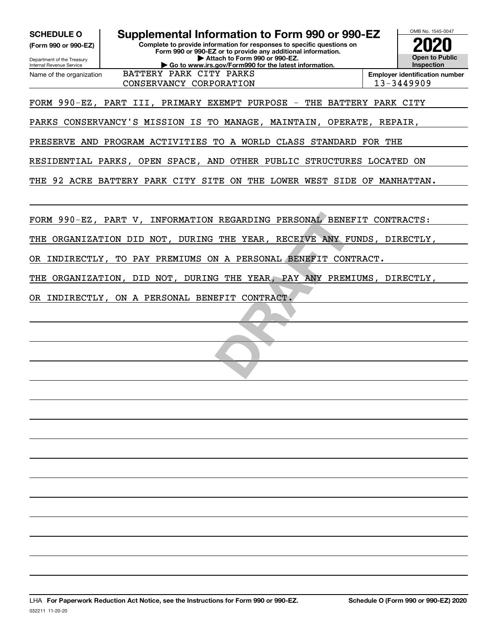**(Form 990 or 990-EZ)**

Department of the Treasury Internal Revenue Service Name of the organization

## **Complete to provide information for responses to specific questions on SCHEDULE O Supplemental Information to Form 990 or 990-EZ**

**Form 990 or 990-EZ or to provide any additional information. | Attach to Form 990 or 990-EZ. | Go to www.irs.gov/Form990 for the latest information.** BATTERY PARK CITY PARKS



**Employer identification number** CONSERVANCY CORPORATION 13-3449909

FORM 990-EZ, PART III, PRIMARY EXEMPT PURPOSE - THE BATTERY PARK CITY

PARKS CONSERVANCY'S MISSION IS TO MANAGE, MAINTAIN, OPERATE, REPAIR,

PRESERVE AND PROGRAM ACTIVITIES TO A WORLD CLASS STANDARD FOR THE

RESIDENTIAL PARKS, OPEN SPACE, AND OTHER PUBLIC STRUCTURES LOCATED ON

THE 92 ACRE BATTERY PARK CITY SITE ON THE LOWER WEST SIDE OF MANHATTAN.

FORM 990-EZ, PART V, INFORMATION REGARDING PERSONAL BENEFIT CONTRACTS:

REGARDING PERSONAL BENEITHE YEAR, RECEIVE ANY FIEST THE YEAR, RECEIVE ANY PREM.<br> **DRAFT ON A PERSONAL BENEFIT CON!**<br> **DRAFT ON TRACT.** THE ORGANIZATION DID NOT, DURING THE YEAR, RECEIVE ANY FUNDS, DIRECTLY,

OR INDIRECTLY, TO PAY PREMIUMS ON A PERSONAL BENEFIT CONTRACT.

THE ORGANIZATION, DID NOT, DURING THE YEAR, PAY ANY PREMIUMS, DIRECTLY,

OR INDIRECTLY, ON A PERSONAL BENEFIT CONTRACT.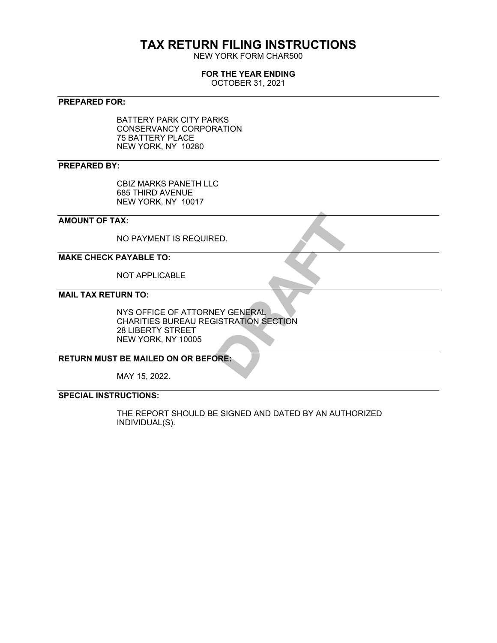# **TAX RETURN FILING INSTRUCTIONS**

NEW YORK FORM CHAR500

#### **FOR THE YEAR ENDING**

OCTOBER 31, 2021

### **PREPARED FOR:**

BATTERY PARK CITY PARKS CONSERVANCY CORPORATION 75 BATTERY PLACE NEW YORK, NY 10280

#### **PREPARED BY:**

CBIZ MARKS PANETH LLC 685 THIRD AVENUE NEW YORK, NY 10017

### **AMOUNT OF TAX:**

NO PAYMENT IS REQUIRED.

## **MAKE CHECK PAYABLE TO:**

NOT APPLICABLE

## **MAIL TAX RETURN TO:**

ED.<br>EY GENERAL<br>SISTRATION SECTION<br>DRE: NYS OFFICE OF ATTORNEY GENERAL CHARITIES BUREAU REGISTRATION SECTION 28 LIBERTY STREET NEW YORK, NY 10005

#### **RETURN MUST BE MAILED ON OR BEFORE:**

MAY 15, 2022.

## **SPECIAL INSTRUCTIONS:**

THE REPORT SHOULD BE SIGNED AND DATED BY AN AUTHORIZED INDIVIDUAL(S).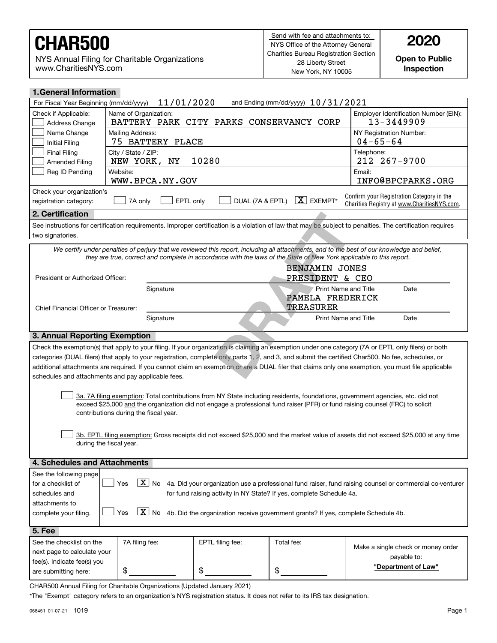NYS Annual Filing for Charitable Organizations www.CharitiesNYS.com

**Open to Public Inspection**

| <b>1.General Information</b>                                                                                                                                                                                                                                                                             |                                                                                                                            |                                                                      |            |                                                                                                                                      |  |  |  |
|----------------------------------------------------------------------------------------------------------------------------------------------------------------------------------------------------------------------------------------------------------------------------------------------------------|----------------------------------------------------------------------------------------------------------------------------|----------------------------------------------------------------------|------------|--------------------------------------------------------------------------------------------------------------------------------------|--|--|--|
| 11/01/2020<br>and Ending (mm/dd/yyyy) 10/31/2021<br>For Fiscal Year Beginning (mm/dd/yyyy)                                                                                                                                                                                                               |                                                                                                                            |                                                                      |            |                                                                                                                                      |  |  |  |
| Check if Applicable:<br>Address Change                                                                                                                                                                                                                                                                   | Name of Organization:<br>BATTERY PARK CITY PARKS CONSERVANCY CORP                                                          |                                                                      |            | Employer Identification Number (EIN):<br>13-3449909                                                                                  |  |  |  |
| Name Change<br>Initial Filing                                                                                                                                                                                                                                                                            | Mailing Address:<br>75 BATTERY PLACE                                                                                       |                                                                      |            | NY Registration Number:<br>$04 - 65 - 64$                                                                                            |  |  |  |
| <b>Final Filing</b><br>City / State / ZIP:<br>Telephone:<br>10280<br>212 267-9700<br>NEW YORK,<br>NY<br><b>Amended Filing</b>                                                                                                                                                                            |                                                                                                                            |                                                                      |            |                                                                                                                                      |  |  |  |
| Email:<br>Reg ID Pending<br>Website:<br>WWW.BPCA.NY.GOV<br>INFO@BPCPARKS.ORG                                                                                                                                                                                                                             |                                                                                                                            |                                                                      |            |                                                                                                                                      |  |  |  |
| Check your organization's<br>Confirm your Registration Category in the<br>$X$ EXEMPT*<br>EPTL only<br>DUAL (7A & EPTL)<br>registration category:<br>7A only<br>Charities Registry at www.CharitiesNYS.com.                                                                                               |                                                                                                                            |                                                                      |            |                                                                                                                                      |  |  |  |
| 2. Certification                                                                                                                                                                                                                                                                                         |                                                                                                                            |                                                                      |            |                                                                                                                                      |  |  |  |
| See instructions for certification requirements. Improper certification is a violation of law that may be subject to penalties. The certification requires<br>two signatories.                                                                                                                           |                                                                                                                            |                                                                      |            |                                                                                                                                      |  |  |  |
| We certify under penalties of perjury that we reviewed this report, including all attachments, and to the best of our knowledge and belief,<br>they are true, correct and complete in accordance with the laws of the State of New York applicable to this report.                                       |                                                                                                                            |                                                                      |            |                                                                                                                                      |  |  |  |
| <b>BENJAMIN JONES</b><br>President or Authorized Officer:<br>PRESIDENT & CEO                                                                                                                                                                                                                             |                                                                                                                            |                                                                      |            |                                                                                                                                      |  |  |  |
|                                                                                                                                                                                                                                                                                                          | Signature<br>Print Name and Title<br>Date<br>PAMELA FREDERICK<br><b>TREASURER</b><br>Chief Financial Officer or Treasurer: |                                                                      |            |                                                                                                                                      |  |  |  |
| Print Name and Title<br>Signature<br>Date                                                                                                                                                                                                                                                                |                                                                                                                            |                                                                      |            |                                                                                                                                      |  |  |  |
| 3. Annual Reporting Exemption                                                                                                                                                                                                                                                                            |                                                                                                                            |                                                                      |            |                                                                                                                                      |  |  |  |
| Check the exemption(s) that apply to your filing. If your organization is claiming an exemption under one category (7A or EPTL only filers) or both                                                                                                                                                      |                                                                                                                            |                                                                      |            |                                                                                                                                      |  |  |  |
| categories (DUAL filers) that apply to your registration, complete only parts 1, 2, and 3, and submit the certified Char500. No fee, schedules, or                                                                                                                                                       |                                                                                                                            |                                                                      |            |                                                                                                                                      |  |  |  |
| additional attachments are required. If you cannot claim an exemption or are a DUAL filer that claims only one exemption, you must file applicable                                                                                                                                                       |                                                                                                                            |                                                                      |            |                                                                                                                                      |  |  |  |
| schedules and attachments and pay applicable fees.                                                                                                                                                                                                                                                       |                                                                                                                            |                                                                      |            |                                                                                                                                      |  |  |  |
| 3a. 7A filing exemption: Total contributions from NY State including residents, foundations, government agencies, etc. did not<br>exceed \$25,000 and the organization did not engage a professional fund raiser (PFR) or fund raising counsel (FRC) to solicit<br>contributions during the fiscal year. |                                                                                                                            |                                                                      |            |                                                                                                                                      |  |  |  |
|                                                                                                                                                                                                                                                                                                          | during the fiscal year.                                                                                                    |                                                                      |            | 3b. EPTL filing exemption: Gross receipts did not exceed \$25,000 and the market value of assets did not exceed \$25,000 at any time |  |  |  |
| 4. Schedules and Attachments                                                                                                                                                                                                                                                                             |                                                                                                                            |                                                                      |            |                                                                                                                                      |  |  |  |
| See the following page                                                                                                                                                                                                                                                                                   |                                                                                                                            |                                                                      |            |                                                                                                                                      |  |  |  |
| for a checklist of                                                                                                                                                                                                                                                                                       | Yes                                                                                                                        |                                                                      |            | $\boxed{X}$ No 4a. Did your organization use a professional fund raiser, fund raising counsel or commercial co-venturer              |  |  |  |
| schedules and                                                                                                                                                                                                                                                                                            |                                                                                                                            | for fund raising activity in NY State? If yes, complete Schedule 4a. |            |                                                                                                                                      |  |  |  |
| attachments to                                                                                                                                                                                                                                                                                           |                                                                                                                            |                                                                      |            |                                                                                                                                      |  |  |  |
| complete your filing.                                                                                                                                                                                                                                                                                    | $\overline{X}$ No<br>4b. Did the organization receive government grants? If yes, complete Schedule 4b.<br>Yes              |                                                                      |            |                                                                                                                                      |  |  |  |
| 5. Fee                                                                                                                                                                                                                                                                                                   |                                                                                                                            |                                                                      |            |                                                                                                                                      |  |  |  |
|                                                                                                                                                                                                                                                                                                          |                                                                                                                            |                                                                      |            |                                                                                                                                      |  |  |  |
| See the checklist on the                                                                                                                                                                                                                                                                                 | 7A filing fee:                                                                                                             | EPTL filing fee:                                                     | Total fee: |                                                                                                                                      |  |  |  |
| next page to calculate your                                                                                                                                                                                                                                                                              |                                                                                                                            |                                                                      |            | Make a single check or money order                                                                                                   |  |  |  |
| fee(s). Indicate fee(s) you<br>are submitting here:                                                                                                                                                                                                                                                      | \$                                                                                                                         | \$                                                                   | \$         | payable to:<br>"Department of Law"                                                                                                   |  |  |  |

CHAR500 Annual Filing for Charitable Organizations (Updated January 2021)

\*The "Exempt" category refers to an organization's NYS registration status. It does not refer to its IRS tax designation.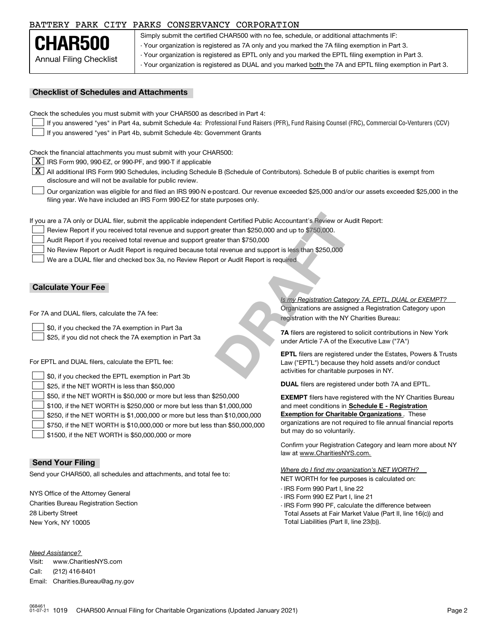#### BATTERY PARK CITY PARKS CONSERVANCY CORPORATION

Annual Filing Checklist **CHAR500**

Simply submit the certified CHAR500 with no fee, schedule, or additional attachments IF: - Your organization is registered as 7A only and you marked the 7A filing exemption in Part 3. - Your organization is registered as EPTL only and you marked the EPTL filing exemption in Part 3. - Your organization is registered as DUAL and you marked both the 7A and EPTL filing exemption in Part 3.

#### **Checklist of Schedules and Attachments**

Check the schedules you must submit with your CHAR500 as described in Part 4:

- If you answered "yes" in Part 4a, submit Schedule 4a: Professional Fund Raisers (PFR), Fund Raising Counsel (FRC), Commercial Co-Venturers (CCV)  $\mathcal{L}^{\text{max}}$
- If you answered "yes" in Part 4b, submit Schedule 4b: Government Grants  $\mathcal{L}^{\text{max}}$

Check the financial attachments you must submit with your CHAR500:

 $\boxed{\textbf{X}}$  IRS Form 990, 990-EZ, or 990-PF, and 990-T if applicable

 $|\overline{\textbf{X}}|$  All additional IRS Form 990 Schedules, including Schedule B (Schedule of Contributors). Schedule B of public charities is exempt from disclosure and will not be available for public review.

Our organization was eligible for and filed an IRS 990-N e-postcard. Our revenue exceeded \$25,000 and/or our assets exceeded \$25,000 in the filing year. We have included an IRS Form 990-EZ for state purposes only.  $\mathcal{L}^{\text{max}}$ 

If you are a 7A only or DUAL filer, submit the applicable independent Certified Public Accountant's Review or Audit Report:

- Review Report if you received total revenue and support greater than \$250,000 and up to \$750,000.  $\mathcal{L}^{\text{max}}$
- Audit Report if you received total revenue and support greater than \$750,000  $\mathcal{L}^{\text{max}}$
- No Review Report or Audit Report is required because total revenue and support is less than \$250,000  $\mathcal{L}^{\text{max}}$

We are a DUAL filer and checked box 3a, no Review Report or Audit Report is required  $\mathcal{L}^{\text{max}}$ 

#### **Calculate Your Fee**

For 7A and DUAL filers, calculate the 7A fee:

\$0, if you checked the 7A exemption in Part 3a  $\mathcal{L}^{\text{max}}$ 

\$25, if you did not check the 7A exemption in Part 3a  $\mathcal{L}^{\text{max}}$ 

For EPTL and DUAL filers, calculate the EPTL fee:

| $\Box$ \$0, if you checked the EPTL exemption in Part 3b                          | activities for charitable purposes in NY.                         |
|-----------------------------------------------------------------------------------|-------------------------------------------------------------------|
| $\Box$ \$25, if the NET WORTH is less than \$50,000                               | <b>DUAL</b> filers are registered under both 7A and EPTL.         |
| $\Box$ \$50, if the NET WORTH is \$50,000 or more but less than \$250,000         | <b>EXEMPT</b> filers have registered with the NY Charities Bureau |
| $\Box$ \$100, if the NET WORTH is \$250,000 or more but less than \$1,000,000     | and meet conditions in Schedule E - Registration                  |
| $\Box$ \$250, if the NET WORTH is \$1,000,000 or more but less than \$10,000,000  | <b>Exemption for Charitable Organizations.</b> These              |
| $\Box$ \$750, if the NET WORTH is \$10,000,000 or more but less than \$50,000,000 | organizations are not required to file annual financial reports   |
| $\Box$ \$1500, if the NET WORTH is \$50,000,000 or more                           | but may do so voluntarily.                                        |

#### **Send Your Filing**

Send your CHAR500, all schedules and attachments, and total fee to:

NYS Office of the Attorney General Charities Bureau Registration Section 28 Liberty Street New York, NY 10005

*Need Assistance?*

Visit:Call:Email:Charities.Bureau@ag.ny.gov www.CharitiesNYS.com(212) 416-8401

Organizations are assigned a Registration Category upon registration with the NY Charities Bureau: *Is my Registration Category 7A, EPTL, DUAL or EXEMPT?*  dent Certified Public Accountant's Review or Au<br>
reater than \$250,000 and up to \$750,000.<br>
ater than \$750,000<br>
al revenue and support is less than \$250,000<br>
ort or Audit Report is required<br>
Subseting the property of the NY

**7A** filers are registered to solicit contributions in New York under Article 7-A of the Executive Law ("7A")

**EPTL** filers are registered under the Estates, Powers & Trusts Law ("EPTL") because they hold assets and/or conduct activities for charitable purposes in NY.

Confirm your Registration Category and learn more about NY law at www.CharitiesNYS.com.

NET WORTH for fee purposes is calculated on: *Where do I find my organization's NET WORTH?*

- IRS Form 990 Part I, line 22
- IRS Form 990 EZ Part I, line 21
- IRS Form 990 PF, calculate the difference between Total Assets at Fair Market Value (Part II, line 16(c)) and Total Liabilities (Part II, line 23(b)).